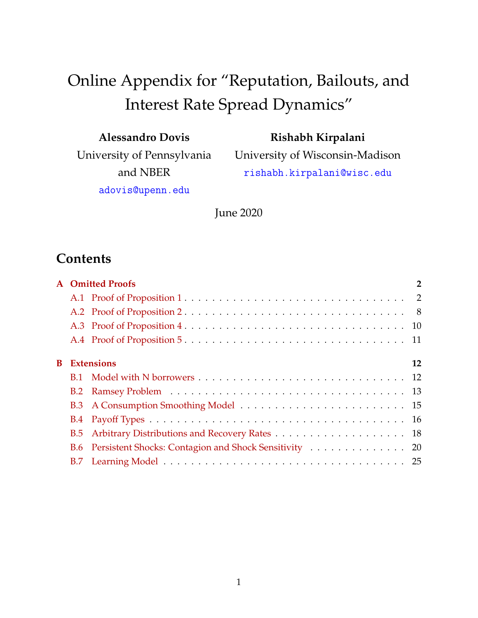# Online Appendix for "Reputation, Bailouts, and Interest Rate Spread Dynamics"

| <b>Alessandro Dovis</b> |  |
|-------------------------|--|
|-------------------------|--|

University of Pennsylvania and NBER

**Rishabh Kirpalani**

University of Wisconsin-Madison rishabh.kirpalani@wisc.edu

adovis@upenn.edu

June 2020

# **Contents**

|    |            | <b>A</b> Omitted Proofs                                   | $\overline{2}$ |
|----|------------|-----------------------------------------------------------|----------------|
|    |            |                                                           |                |
|    |            |                                                           |                |
|    |            |                                                           |                |
|    |            |                                                           |                |
| B. |            | <b>Extensions</b>                                         | 12             |
|    | <b>B.1</b> |                                                           |                |
|    |            |                                                           |                |
|    |            |                                                           |                |
|    |            |                                                           |                |
|    | B.5        |                                                           |                |
|    |            | B.6 Persistent Shocks: Contagion and Shock Sensitivity 20 |                |
|    |            |                                                           |                |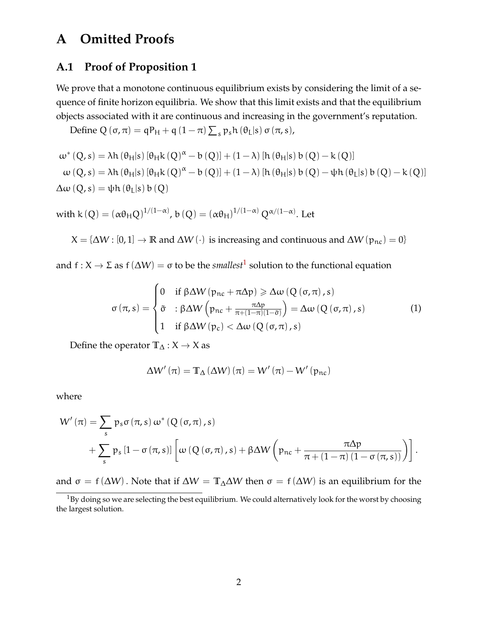## <span id="page-1-0"></span>**A Omitted Proofs**

#### <span id="page-1-1"></span>**A.1 Proof of Proposition 1**

We prove that a monotone continuous equilibrium exists by considering the limit of a sequence of finite horizon equilibria. We show that this limit exists and that the equilibrium objects associated with it are continuous and increasing in the government's reputation.

Define Q  $(\sigma, \pi) = qP_H + q(1-\pi) \sum_s p_s h(\theta_L|s) \sigma(\pi, s)$ ,

$$
\begin{aligned} &\omega^*\left(Q,s\right)=\lambda h\left(\theta_H|s\right)\left[\theta_H k\left(Q\right)^\alpha-b\left(Q\right)\right]+\left(1-\lambda\right)\left[h\left(\theta_H|s\right)b\left(Q\right)-k\left(Q\right)\right]\\ &\omega\left(Q,s\right)=\lambda h\left(\theta_H|s\right)\left[\theta_H k\left(Q\right)^\alpha-b\left(Q\right)\right]+\left(1-\lambda\right)\left[h\left(\theta_H|s\right)b\left(Q\right)-\psi h\left(\theta_L|s\right)b\left(Q\right)-k\left(Q\right)\right]\\ &\Delta\omega\left(Q,s\right)=\psi h\left(\theta_L|s\right)b\left(Q\right) \end{aligned}
$$

with k (Q) = ( $\alpha\theta_HQ$ )<sup>1/(1- $\alpha$ )</sup>, b (Q) = ( $\alpha\theta_H$ )<sup>1/(1- $\alpha$ )</sup> Q<sup>α/(1- $\alpha$ )</sup>. Let

 $X = {\Delta W : [0, 1] \rightarrow \mathbb{R}}$  and  $\Delta W (\cdot)$  is increasing and continuous and  $\Delta W (p_{nc}) = 0$ 

and  $f: X \to \Sigma$  as  $f(\Delta W) = \sigma$  to be the *smallest*<sup>[1](#page-1-2)</sup> solution to the functional equation

<span id="page-1-3"></span>
$$
\sigma(\pi, s) = \begin{cases}\n0 & \text{if } \beta \Delta W(p_{nc} + \pi \Delta p) \ge \Delta \omega (Q(\sigma, \pi), s) \\
\tilde{\sigma} & \text{if } \beta \Delta W(p_{nc} + \frac{\pi \Delta p}{\pi + (1 - \pi)(1 - \tilde{\sigma})}) = \Delta \omega (Q(\sigma, \pi), s) \\
1 & \text{if } \beta \Delta W(p_c) < \Delta \omega (Q(\sigma, \pi), s)\n\end{cases}
$$
\n(1)

Define the operator **T**<sup>∆</sup> : X → X as

$$
\Delta W'\left(\pi\right)=\mathbb{T}_{\Delta}\left(\Delta W\right)\left(\pi\right)=W'\left(\pi\right)-W'\left(p_{nc}\right)
$$

where

$$
W'(\pi) = \sum_{s} p_s \sigma(\pi, s) \omega^* (Q(\sigma, \pi), s)
$$
  
+ 
$$
\sum_{s} p_s [1 - \sigma(\pi, s)] \left[ \omega (Q(\sigma, \pi), s) + \beta \Delta W \left( p_{nc} + \frac{\pi \Delta p}{\pi + (1 - \pi) (1 - \sigma(\pi, s))} \right) \right].
$$

and  $\sigma = f(\Delta W)$ . Note that if  $\Delta W = T_{\Delta} \Delta W$  then  $\sigma = f(\Delta W)$  is an equilibrium for the

<span id="page-1-2"></span><sup>&</sup>lt;sup>1</sup>By doing so we are selecting the best equilibrium. We could alternatively look for the worst by choosing the largest solution.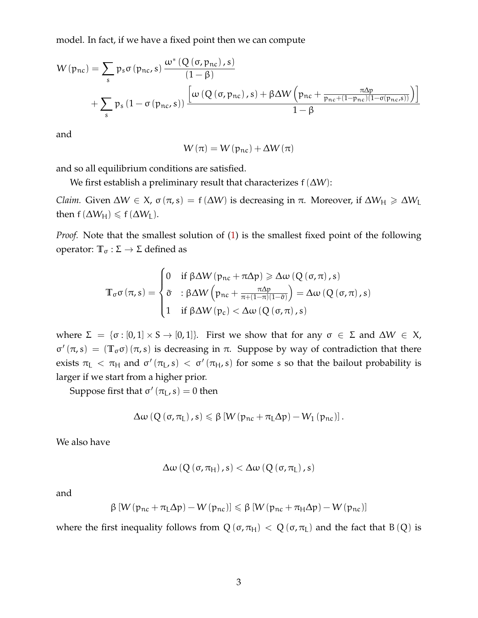model. In fact, if we have a fixed point then we can compute

$$
W(p_{nc}) = \sum_{s} p_s \sigma(p_{nc}, s) \frac{\omega^* (Q(\sigma, p_{nc}), s)}{(1 - \beta)} + \sum_{s} p_s (1 - \sigma(p_{nc}, s)) \frac{\left[\omega (Q(\sigma, p_{nc}), s) + \beta \Delta W (p_{nc} + \frac{\pi \Delta p}{p_{nc} + (1 - p_{nc})(1 - \sigma(p_{nc}, s))}\right)\right]}{1 - \beta}
$$

and

$$
W\left(\pi\right)=W\left(p_{nc}\right)+\Delta W\left(\pi\right)
$$

and so all equilibrium conditions are satisfied.

We first establish a preliminary result that characterizes  $f(\Delta W)$ :

*Claim.* Given  $\Delta W \in X$ ,  $\sigma(\pi, s) = f(\Delta W)$  is decreasing in  $\pi$ . Moreover, if  $\Delta W_H \ge \Delta W_L$ then  $f(\Delta W_H) \le f(\Delta W_L)$ .

*Proof.* Note that the smallest solution of [\(1\)](#page-1-3) is the smallest fixed point of the following operator:  $\mathbb{T}_{\sigma} : \Sigma \to \Sigma$  defined as

$$
\mathbb{T}_{\sigma}\sigma\left(\pi,s\right)=\begin{cases} 0 & \text{if }\beta\Delta W\left(p_{nc}+\pi\Delta p\right)\geqslant\Delta\omega\left(Q\left(\sigma,\pi\right),s\right)\\ \tilde{\sigma} & \text{: }\beta\Delta W\left(p_{nc}+\frac{\pi\Delta p}{\pi+\left(1-\pi\right)\left(1-\tilde{\sigma}\right)}\right)=\Delta\omega\left(Q\left(\sigma,\pi\right),s\right)\\ 1 & \text{if }\beta\Delta W\left(p_{c}\right)<\Delta\omega\left(Q\left(\sigma,\pi\right),s\right) \end{cases}
$$

where  $\Sigma = {\sigma : [0,1] \times S \rightarrow [0,1]}$ . First we show that for any  $\sigma \in \Sigma$  and  $\Delta W \in X$ ,  $\sigma'(\pi, s) = (\mathbb{T}_{\sigma} \sigma)(\pi, s)$  is decreasing in  $\pi$ . Suppose by way of contradiction that there exists  $\pi_L < \pi_H$  and  $\sigma'(\pi_L, s) < \sigma'(\pi_H, s)$  for some s so that the bailout probability is larger if we start from a higher prior.

Suppose first that  $\sigma'(\pi_L, s) = 0$  then

$$
\Delta\omega\left(Q\left(\sigma,\pi_{L}\right),s\right)\leqslant\beta\left[W\left(p_{nc}+\pi_{L}\Delta p\right)-W_{1}\left(p_{nc}\right)\right].
$$

We also have

$$
\Delta\omega\left(Q\left(\sigma,\pi_{H}\right),s\right)<\Delta\omega\left(Q\left(\sigma,\pi_{L}\right),s\right)
$$

and

$$
\beta \left[ W\left( \mathfrak{p}_{\text{nc}} + \pi_{\text{L}} \Delta \mathfrak{p} \right) - W\left( \mathfrak{p}_{\text{nc}} \right) \right] \leqslant \beta \left[ W\left( \mathfrak{p}_{\text{nc}} + \pi_{\text{H}} \Delta \mathfrak{p} \right) - W\left( \mathfrak{p}_{\text{nc}} \right) \right]
$$

where the first inequality follows from  $Q(\sigma, \pi_H) < Q(\sigma, \pi_L)$  and the fact that B(Q) is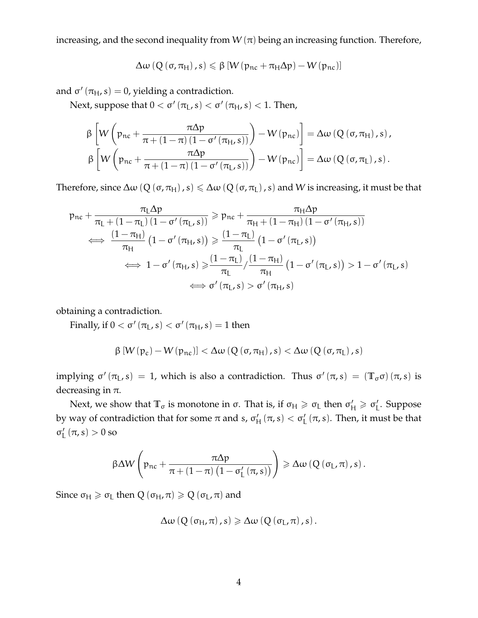increasing, and the second inequality from  $W(\pi)$  being an increasing function. Therefore,

$$
\Delta\omega\left(Q\left(\sigma,\pi_{\mathsf{H}}\right),s\right)\leqslant\beta\left[W\left(\mathfrak{p}_{\mathsf{nc}}+\pi_{\mathsf{H}}\Delta p\right)-W\left(\mathfrak{p}_{\mathsf{nc}}\right)\right]
$$

and  $\sigma'$   $(\pi_H, s) = 0$ , yielding a contradiction.

Next, suppose that  $0 < \sigma'(\pi_{\rm L}, s) < \sigma'(\pi_{\rm H}, s) < 1$ . Then,

$$
\beta \left[ W \left( p_{nc} + \frac{\pi \Delta p}{\pi + (1 - \pi) (1 - \sigma'(\pi_H, s))} \right) - W(p_{nc}) \right] = \Delta \omega \left( Q \left( \sigma, \pi_H \right), s \right),
$$
  

$$
\beta \left[ W \left( p_{nc} + \frac{\pi \Delta p}{\pi + (1 - \pi) (1 - \sigma'(\pi_L, s))} \right) - W(p_{nc}) \right] = \Delta \omega \left( Q \left( \sigma, \pi_L \right), s \right).
$$

Therefore, since  $\Delta \omega$  (Q ( $\sigma$ ,  $\pi$ <sub>H</sub>), s)  $\leq \Delta \omega$  (Q ( $\sigma$ ,  $\pi$ <sub>L</sub>), s) and W is increasing, it must be that

$$
p_{nc} + \frac{\pi_L \Delta p}{\pi_L + (1 - \pi_L) (1 - \sigma'(\pi_L, s))} \ge p_{nc} + \frac{\pi_H \Delta p}{\pi_H + (1 - \pi_H) (1 - \sigma'(\pi_H, s))}
$$
  
\n
$$
\iff \frac{(1 - \pi_H)}{\pi_H} (1 - \sigma'(\pi_H, s)) \ge \frac{(1 - \pi_L)}{\pi_L} (1 - \sigma'(\pi_L, s))
$$
  
\n
$$
\iff 1 - \sigma'(\pi_H, s) \ge \frac{(1 - \pi_L)}{\pi_L} / \frac{(1 - \pi_H)}{\pi_H} (1 - \sigma'(\pi_L, s)) > 1 - \sigma'(\pi_L, s)
$$
  
\n
$$
\iff \sigma'(\pi_L, s) > \sigma'(\pi_H, s)
$$

obtaining a contradiction.

Finally, if  $0 < \sigma'(\pi_{L}, s) < \sigma'(\pi_{H}, s) = 1$  then

$$
\beta \left[ W(p_c) - W(p_{nc}) \right] < \Delta \omega \left( Q\left(\sigma, \pi_{H}\right), s \right) < \Delta \omega \left( Q\left(\sigma, \pi_{L}\right), s \right)
$$

implying  $\sigma'(\pi_L, s) = 1$ , which is also a contradiction. Thus  $\sigma'(\pi, s) = (\mathbb{T}_{\sigma} \sigma)(\pi, s)$  is decreasing in  $\pi$ .

Next, we show that  $\mathbb{T}_{\sigma}$  is monotone in  $\sigma$ . That is, if  $\sigma_H \geqslant \sigma_L$  then  $\sigma'_H \geqslant \sigma'_L$ L . Suppose by way of contradiction that for some  $\pi$  and s,  $\sigma'_{\rm P}$  $H'_{\rm H}(\pi,s) < \sigma'_{\rm L}(\pi,s)$ . Then, it must be that  $\sigma'_{I}$  $_{L}^{\prime}$   $(\pi, s) > 0$  so

$$
\beta \Delta W \left(p_{nc} + \frac{\pi \Delta p}{\pi + \left(1 - \pi\right) \left(1 - \sigma_L' \left(\pi, s\right)\right)}\right) \geqslant \Delta \omega \left(Q \left(\sigma_L, \pi\right), s\right).
$$

Since  $\sigma_H \geq \sigma_L$  then  $Q(\sigma_H, \pi) \geq Q(\sigma_L, \pi)$  and

$$
\Delta\omega\left(Q\left(\sigma_{H},\pi\right),s\right)\geqslant\Delta\omega\left(Q\left(\sigma_{L},\pi\right),s\right).
$$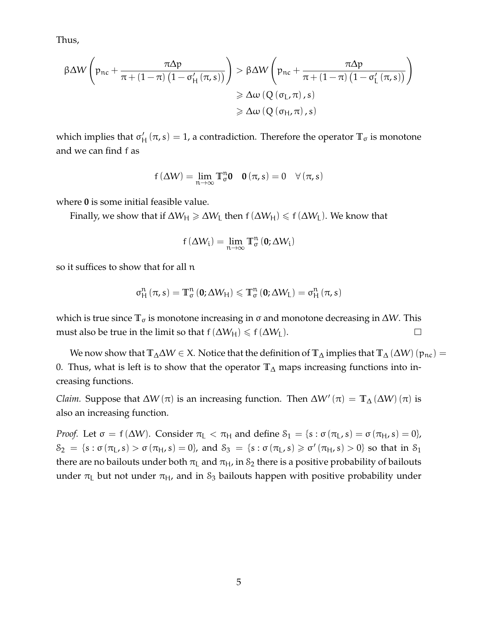Thus,

$$
\begin{aligned} \beta \Delta W \left( \mathfrak{p}_{\text{nc}} + \frac{\pi \Delta \mathfrak{p}}{\pi + \left( 1 - \pi \right) \left( 1 - \sigma_{\text{H}}' \left( \pi, s \right) \right)} \right) &> \beta \Delta W \left( \mathfrak{p}_{\text{nc}} + \frac{\pi \Delta \mathfrak{p}}{\pi + \left( 1 - \pi \right) \left( 1 - \sigma_{\text{L}}' \left( \pi, s \right) \right)} \right) \\ &\geqslant \Delta \omega \left( Q \left( \sigma_{\text{L}}', \pi \right), s \right) \\ &\geqslant \Delta \omega \left( Q \left( \sigma_{\text{H}}', \pi \right), s \right) \end{aligned}
$$

which implies that  $\sigma'_{\rm h}$  $H_{\rm H}(\pi,\mathbf{s}) = 1$ , a contradiction. Therefore the operator  $\mathbb{T}_{\sigma}$  is monotone and we can find f as

$$
f(\Delta W) = \lim_{n \to \infty} T_{\sigma}^{n} \mathbf{0} \quad \mathbf{0}(\pi, s) = 0 \quad \forall (\pi, s)
$$

where **0** is some initial feasible value.

Finally, we show that if  $\Delta W_H \ge \Delta W_L$  then  $f(\Delta W_H) \le f(\Delta W_L)$ . We know that

$$
f(\Delta W_i) = \lim_{n \to \infty} \mathbb{T}^n_{\sigma} \left( \mathbf{0}; \Delta W_i \right)
$$

so it suffices to show that for all n

$$
\sigma_{H}^{n}\left(\pi,s\right)=\mathbb{T}_{\sigma}^{n}\left(0;\Delta W_{H}\right)\leqslant\mathbb{T}_{\sigma}^{n}\left(0;\Delta W_{L}\right)=\sigma_{H}^{n}\left(\pi,s\right)
$$

which is true since  $\mathbb{T}_{\sigma}$  is monotone increasing in σ and monotone decreasing in  $\Delta W$ . This must also be true in the limit so that  $f(\Delta W_H) \le f(\Delta W_L)$ .  $\Box$ 

We now show that  $T_{\Delta} \Delta W \in X$ . Notice that the definition of  $T_{\Delta}$  implies that  $T_{\Delta} (\Delta W)$  ( $p_{nc}$ ) = 0. Thus, what is left is to show that the operator **T**<sup>∆</sup> maps increasing functions into increasing functions.

*Claim.* Suppose that  $\Delta W(\pi)$  is an increasing function. Then  $\Delta W'(\pi) = \mathbb{T}_{\Delta}(\Delta W)(\pi)$  is also an increasing function.

*Proof.* Let  $\sigma = f(\Delta W)$ . Consider  $\pi_L < \pi_H$  and define  $S_1 = \{s : \sigma(\pi_L, s) = \sigma(\pi_H, s) = 0\}$ ,  $S_2 = \{s : \sigma(\pi_L, s) > \sigma(\pi_H, s) = 0\}$ , and  $S_3 = \{s : \sigma(\pi_L, s) \geq \sigma'(\pi_H, s) > 0\}$  so that in  $S_1$ there are no bailouts under both  $\pi$ <sub>L</sub> and  $\pi$ <sub>H</sub>, in  $\mathcal{S}_2$  there is a positive probability of bailouts under  $\pi$ <sub>L</sub> but not under  $\pi$ <sub>H</sub>, and in S<sub>3</sub> bailouts happen with positive probability under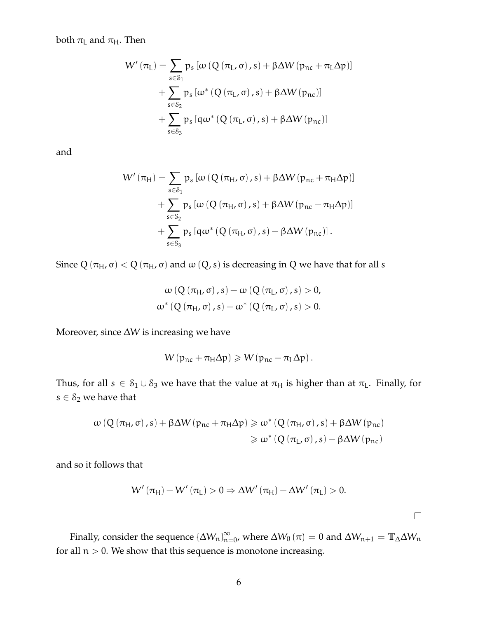both  $\pi$ <sub>L</sub> and  $\pi$ <sub>H</sub>. Then

$$
W'\left(\pi_{L}\right)=\sum_{s\in\mathcal{S}_{1}}p_{s}\left[\omega\left(Q\left(\pi_{L},\sigma\right),s\right)+\beta\Delta W\left(p_{nc}+\pi_{L}\Delta p\right)\right]\\+\sum_{s\in\mathcal{S}_{2}}p_{s}\left[\omega^{*}\left(Q\left(\pi_{L},\sigma\right),s\right)+\beta\Delta W\left(p_{nc}\right)\right]\\+\sum_{s\in\mathcal{S}_{3}}p_{s}\left[q\omega^{*}\left(Q\left(\pi_{L},\sigma\right),s\right)+\beta\Delta W\left(p_{nc}\right)\right]
$$

and

$$
W'(\pi_{H}) = \sum_{s \in \mathcal{S}_{1}} p_{s} [\omega (Q(\pi_{H}, \sigma), s) + \beta \Delta W (p_{nc} + \pi_{H} \Delta p)] + \sum_{s \in \mathcal{S}_{2}} p_{s} [\omega (Q(\pi_{H}, \sigma), s) + \beta \Delta W (p_{nc} + \pi_{H} \Delta p)] + \sum_{s \in \mathcal{S}_{3}} p_{s} [q \omega^{*} (Q(\pi_{H}, \sigma), s) + \beta \Delta W (p_{nc})].
$$

Since  $Q(\pi_H, \sigma) < Q(\pi_H, \sigma)$  and  $\omega(Q, s)$  is decreasing in Q we have that for all s

$$
\omega(Q(\pi_{H}, \sigma), s) - \omega(Q(\pi_{L}, \sigma), s) > 0,
$$
  

$$
\omega^{*}(Q(\pi_{H}, \sigma), s) - \omega^{*}(Q(\pi_{L}, \sigma), s) > 0.
$$

Moreover, since ∆W is increasing we have

$$
W(p_{nc} + \pi_H \Delta p) \geqslant W(p_{nc} + \pi_L \Delta p).
$$

Thus, for all  $s \in S_1 \cup S_3$  we have that the value at  $\pi_H$  is higher than at  $\pi_L$ . Finally, for  $s \in \mathcal{S}_2$  we have that

$$
\begin{aligned} \omega\left(Q\left(\pi_{\mathsf{H}},\sigma\right),s\right) + \beta \Delta W\left(\mathfrak{p}_{\mathsf{nc}} + \pi_{\mathsf{H}}\Delta p\right) &\geqslant \omega^*\left(Q\left(\pi_{\mathsf{H}},\sigma\right),s\right) + \beta \Delta W\left(\mathfrak{p}_{\mathsf{nc}}\right) \\ &\geqslant \omega^*\left(Q\left(\pi_{\mathsf{L}},\sigma\right),s\right) + \beta \Delta W\left(\mathfrak{p}_{\mathsf{nc}}\right) \end{aligned}
$$

and so it follows that

$$
W'\left(\pi_{H}\right)-W'\left(\pi_{L}\right)>0\Rightarrow\Delta W'\left(\pi_{H}\right)-\Delta W'\left(\pi_{L}\right)>0.
$$

 $\Box$ 

Finally, consider the sequence  $\{\Delta W_n\}_{n=0}^{\infty}$ , where  $\Delta W_0\left(\pi\right)=0$  and  $\Delta W_{n+1}=\mathbb{T}_{\Delta}\Delta W_n$ for all  $n > 0$ . We show that this sequence is monotone increasing.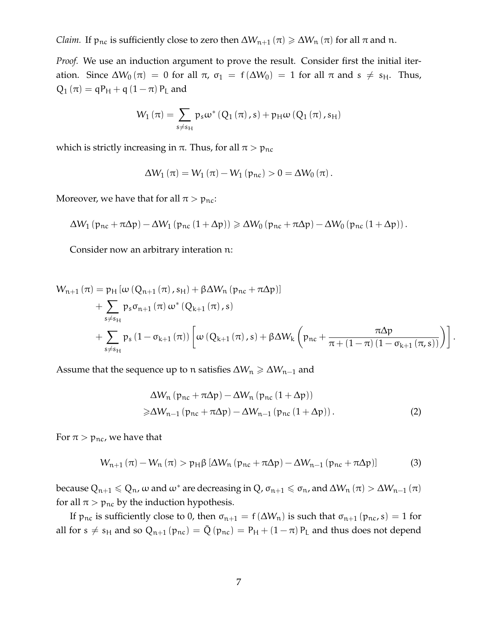*Claim.* If  $p_{nc}$  is sufficiently close to zero then  $\Delta W_{n+1}(\pi) \ge \Delta W_n(\pi)$  for all  $\pi$  and n.

*Proof.* We use an induction argument to prove the result. Consider first the initial iteration. Since  $\Delta W_0(\pi) = 0$  for all  $\pi$ ,  $\sigma_1 = f(\Delta W_0) = 1$  for all  $\pi$  and  $s \neq s_H$ . Thus,  $Q_1(\pi) = qP_H + q(1-\pi)P_L$  and

$$
W_{1}\left(\pi\right)=\sum_{s\neq s_{H}}p_{s}\omega^{*}\left(Q_{1}\left(\pi\right),s\right)+p_{H}\omega\left(Q_{1}\left(\pi\right),s_{H}\right)
$$

which is strictly increasing in  $\pi$ . Thus, for all  $\pi > p_{nc}$ 

$$
\Delta W_1 (\pi) = W_1 (\pi) - W_1 (p_{nc}) > 0 = \Delta W_0 (\pi).
$$

Moreover, we have that for all  $\pi > p_{nc}$ :

$$
\Delta W_1 \left( p_{nc} + \pi \Delta p \right) - \Delta W_1 \left( p_{nc} \left( 1 + \Delta p \right) \right) \geqslant \Delta W_0 \left( p_{nc} + \pi \Delta p \right) - \Delta W_0 \left( p_{nc} \left( 1 + \Delta p \right) \right).
$$

Consider now an arbitrary interation n:

$$
W_{n+1}(\pi) = p_H \left[ \omega \left( Q_{n+1} \left( \pi \right), s_H \right) + \beta \Delta W_n \left( p_{nc} + \pi \Delta p \right) \right] + \sum_{s \neq s_H} p_s \sigma_{n+1} \left( \pi \right) \omega^* \left( Q_{k+1} \left( \pi \right), s \right) + \sum_{s \neq s_H} p_s \left( 1 - \sigma_{k+1} \left( \pi \right) \right) \left[ \omega \left( Q_{k+1} \left( \pi \right), s \right) + \beta \Delta W_k \left( p_{nc} + \frac{\pi \Delta p}{\pi + \left( 1 - \pi \right) \left( 1 - \sigma_{k+1} \left( \pi, s \right) \right)} \right) \right].
$$

Assume that the sequence up to n satisfies  $\Delta W_n \ge \Delta W_{n-1}$  and

<span id="page-6-1"></span>
$$
\Delta W_n (p_{nc} + \pi \Delta p) - \Delta W_n (p_{nc} (1 + \Delta p))
$$
  
\n
$$
\geq \Delta W_{n-1} (p_{nc} + \pi \Delta p) - \Delta W_{n-1} (p_{nc} (1 + \Delta p)).
$$
 (2)

For  $\pi$  >  $p_{nc}$ , we have that

<span id="page-6-0"></span>
$$
W_{n+1}(\pi) - W_n(\pi) > p_H \beta \left[ \Delta W_n \left( p_{nc} + \pi \Delta p \right) - \Delta W_{n-1} \left( p_{nc} + \pi \Delta p \right) \right] \tag{3}
$$

because  $Q_{n+1} \leq Q_n$ ,  $\omega$  and  $\omega^*$  are decreasing in  $Q$ ,  $\sigma_{n+1} \leq \sigma_n$ , and  $\Delta W_n(\pi) > \Delta W_{n-1}(\pi)$ for all  $\pi > p_{nc}$  by the induction hypothesis.

If  $p_{nc}$  is sufficiently close to 0, then  $\sigma_{n+1} = f(\Delta W_n)$  is such that  $\sigma_{n+1} (p_{nc}, s) = 1$  for all for  $s \neq s_H$  and so  $Q_{n+1} (p_{nc}) = \bar{Q} (p_{nc}) = P_H + (1 - \pi) P_L$  and thus does not depend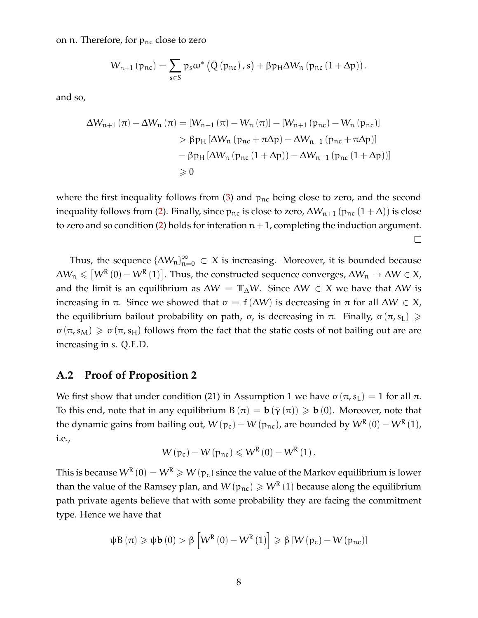on n. Therefore, for  $p_{nc}$  close to zero

$$
W_{n+1} (p_{nc}) = \sum_{s \in S} p_s \omega^* (\bar{Q} (p_{nc}), s) + \beta p_H \Delta W_n (p_{nc} (1 + \Delta p)).
$$

and so,

$$
\Delta W_{n+1}(\pi) - \Delta W_n(\pi) = [W_{n+1}(\pi) - W_n(\pi)] - [W_{n+1}(p_{nc}) - W_n(p_{nc})]
$$
  
>  $\beta p_H [\Delta W_n(p_{nc} + \pi \Delta p) - \Delta W_{n-1}(p_{nc} + \pi \Delta p)]$   
-  $\beta p_H [\Delta W_n(p_{nc}(1 + \Delta p)) - \Delta W_{n-1}(p_{nc}(1 + \Delta p))]$   
> 0

where the first inequality follows from  $(3)$  and  $p_{nc}$  being close to zero, and the second inequality follows from [\(2\)](#page-6-1). Finally, since  $p_{nc}$  is close to zero,  $\Delta W_{n+1} (p_{nc} (1 + \Delta))$  is close to zero and so condition [\(2\)](#page-6-1) holds for interation  $n+1$ , completing the induction argument.  $\Box$ 

Thus, the sequence  $\{\Delta W_n\}_{n=0}^\infty\subset X$  is increasing. Moreover, it is bounded because  $\Delta W_{\mathfrak n}\leqslant \left[W^{\mathsf R}\left(0\right)-W^{\mathsf R}\left(1\right)\right]$ . Thus, the constructed sequence converges,  $\Delta W_{\mathfrak n}\to\Delta W\in X$ , and the limit is an equilibrium as  $\Delta W = \mathbb{T}_{\Delta}W$ . Since  $\Delta W \in X$  we have that  $\Delta W$  is increasing in π. Since we showed that  $\sigma = f(\Delta W)$  is decreasing in π for all  $\Delta W \in X$ , the equilibrium bailout probability on path, σ, is decreasing in π. Finally,  $\sigma(\pi, s_L) \geq$  $\sigma(\pi, s_M) \geq \sigma(\pi, s_H)$  follows from the fact that the static costs of not bailing out are are increasing in s. Q.E.D.

#### <span id="page-7-0"></span>**A.2 Proof of Proposition 2**

We first show that under condition (21) in Assumption 1 we have  $\sigma(\pi, s_L) = 1$  for all  $\pi$ . To this end, note that in any equilibrium B  $(\pi) = \mathbf{b} (\bar{\gamma}(\pi)) \geq \mathbf{b} (0)$ . Moreover, note that the dynamic gains from bailing out,  $W(p_c) - W(p_{nc})$ , are bounded by  $W^{R}(0) - W^{R}(1)$ , i.e.,

$$
W\left(p_c\right) - W\left(p_{nc}\right) \leqslant W^R\left(0\right) - W^R\left(1\right).
$$

This is because  $\mathsf{W}^{\mathsf{R}}\,(0)=\mathsf{W}^{\mathsf{R}}\geqslant\mathsf{W}\,(\mathfrak{p}_{\mathsf{c}})$  since the value of the Markov equilibrium is lower than the value of the Ramsey plan, and  $W(p_{nc}) \geqslant W^R(1)$  because along the equilibrium path private agents believe that with some probability they are facing the commitment type. Hence we have that

$$
\psi B\left(\pi\right) \geqslant \psi \mathbf{b}\left(0\right) > \beta \left[W^{R}\left(0\right) - W^{R}\left(1\right)\right] \geqslant \beta \left[W\left(\mathfrak{p}_{c}\right) - W\left(\mathfrak{p}_{nc}\right)\right]
$$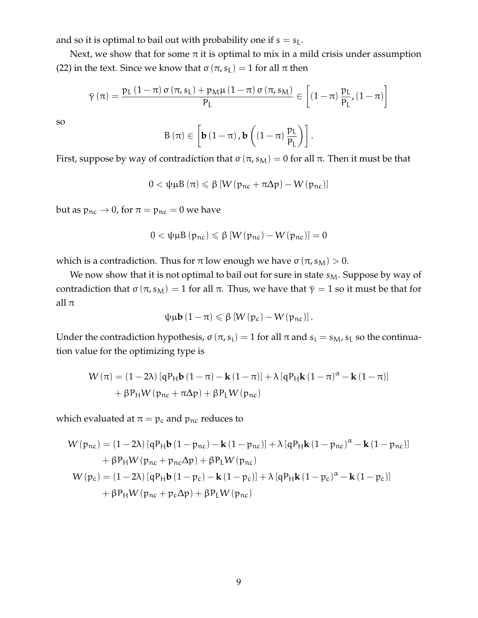and so it is optimal to bail out with probability one if  $s = s<sub>L</sub>$ .

Next, we show that for some  $\pi$  it is optimal to mix in a mild crisis under assumption (22) in the text. Since we know that  $\sigma(\pi, s_L) = 1$  for all  $\pi$  then

$$
\bar{\gamma}\left(\pi\right)=\frac{p_{L}\left(1-\pi\right)\sigma\left(\pi,s_{L}\right)+p_{M}\mu\left(1-\pi\right)\sigma\left(\pi,s_{M}\right)}{P_{L}}\in\left[\left(1-\pi\right)\frac{p_{L}}{P_{L}},\left(1-\pi\right)\right]
$$

so

$$
B\left(\pi\right)\in\left[\boldsymbol{b}\left(1-\pi\right),\boldsymbol{b}\left(\left(1-\pi\right)\frac{p_{L}}{p_{L}}\right)\right].
$$

First, suppose by way of contradiction that  $\sigma(\pi, s_M) = 0$  for all  $\pi$ . Then it must be that

$$
0 < \psi \mu B \left( \pi \right) \leqslant \beta \left[ W \left( p_{nc} + \pi \Delta p \right) - W \left( p_{nc} \right) \right]
$$

but as  $p_{nc} \rightarrow 0$ , for  $\pi = p_{nc} = 0$  we have

$$
0 < \psi \mu B(p_{nc}) \leqslant \beta \left[ W(p_{nc}) - W(p_{nc}) \right] = 0
$$

which is a contradiction. Thus for  $\pi$  low enough we have  $\sigma(\pi, s_M) > 0$ .

We now show that it is not optimal to bail out for sure in state  $s_M$ . Suppose by way of contradiction that  $\sigma(\pi, s_M) = 1$  for all π. Thus, we have that  $\bar{\gamma} = 1$  so it must be that for all  $\pi$ 

$$
\psi\mu\mathbf{b}\left(1-\pi\right)\leqslant\beta\left[W\left(p_{c}\right)-W\left(p_{nc}\right)\right].
$$

Under the contradiction hypothesis,  $\sigma(\pi, s_i) = 1$  for all  $\pi$  and  $s_i = s_M$ ,  $s_L$  so the continuation value for the optimizing type is

$$
W(\pi) = (1 - 2\lambda) \left[ q P_H \mathbf{b} (1 - \pi) - \mathbf{k} (1 - \pi) \right] + \lambda \left[ q P_H \mathbf{k} (1 - \pi)^{\alpha} - \mathbf{k} (1 - \pi) \right]
$$

$$
+ \beta P_H W (p_{nc} + \pi \Delta p) + \beta P_L W (p_{nc})
$$

which evaluated at  $\pi = p_c$  and  $p_{nc}$  reduces to

$$
W(p_{nc}) = (1 - 2\lambda) [qP_H\mathbf{b} (1 - p_{nc}) - \mathbf{k} (1 - p_{nc})] + \lambda [qP_H\mathbf{k} (1 - p_{nc})^{\alpha} - \mathbf{k} (1 - p_{nc})]
$$
  
+  $\beta P_H W (p_{nc} + p_{nc} \Delta p) + \beta P_L W (p_{nc})$   

$$
W(p_c) = (1 - 2\lambda) [qP_H\mathbf{b} (1 - p_c) - \mathbf{k} (1 - p_c)] + \lambda [qP_H\mathbf{k} (1 - p_c)^{\alpha} - \mathbf{k} (1 - p_c)]
$$
  
+  $\beta P_H W (p_{nc} + p_c \Delta p) + \beta P_L W (p_{nc})$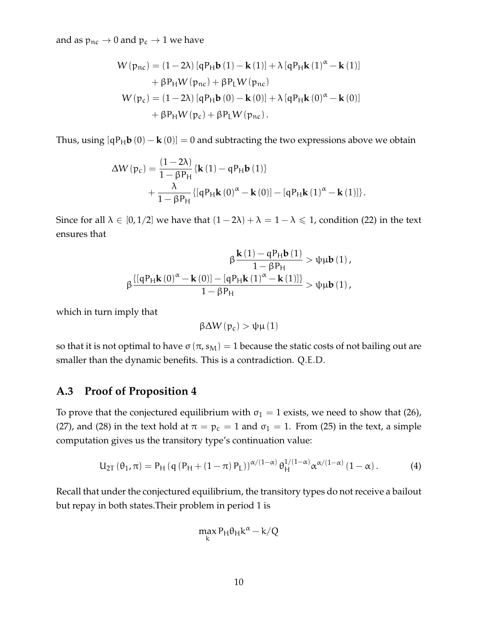and as  $p_{nc} \rightarrow 0$  and  $p_c \rightarrow 1$  we have

$$
W(p_{nc}) = (1 - 2\lambda) [qP_H\mathbf{b}(1) - \mathbf{k}(1)] + \lambda [qP_H\mathbf{k}(1)^{\alpha} - \mathbf{k}(1)]
$$
  
+  $\beta P_H W(p_{nc}) + \beta P_L W(p_{nc})$   

$$
W(p_c) = (1 - 2\lambda) [qP_H\mathbf{b}(0) - \mathbf{k}(0)] + \lambda [qP_H\mathbf{k}(0)^{\alpha} - \mathbf{k}(0)]
$$
  
+  $\beta P_H W(p_c) + \beta P_L W(p_{nc}).$ 

Thus, using  $[qP_Hb(0) - k(0)] = 0$  and subtracting the two expressions above we obtain

$$
\Delta W(p_c) = \frac{(1-2\lambda)}{1-\beta P_H} \{ \mathbf{k}(1) - qP_H \mathbf{b}(1) \} + \frac{\lambda}{1-\beta P_H} \{ [qP_H \mathbf{k}(0)^{\alpha} - \mathbf{k}(0)] - [qP_H \mathbf{k}(1)^{\alpha} - \mathbf{k}(1)] \}.
$$

Since for all  $\lambda \in [0, 1/2]$  we have that  $(1 - 2\lambda) + \lambda = 1 - \lambda \leq 1$ , condition (22) in the text ensures that

$$
\beta\frac{{\bf k}\left(1\right)-qP_H{\bf b}\left(1\right)}{1-\beta P_H}>\psi\mu{\bf b}\left(1\right),\\ \beta\frac{\left\{ \left[qP_H{\bf k}\left(0\right)^\alpha-{\bf k}\left(0\right)\right]-\left[qP_H{\bf k}\left(1\right)^\alpha-{\bf k}\left(1\right)\right]\right\} }{1-\beta P_H}>\psi\mu{\bf b}\left(1\right),
$$

which in turn imply that

$$
\beta \Delta W\left(p_c\right)>\psi \mu\left(1\right)
$$

so that it is not optimal to have  $\sigma(\pi, s_M) = 1$  because the static costs of not bailing out are smaller than the dynamic benefits. This is a contradiction. Q.E.D.

#### <span id="page-9-0"></span>**A.3 Proof of Proposition 4**

To prove that the conjectured equilibrium with  $\sigma_1 = 1$  exists, we need to show that (26), (27), and (28) in the text hold at  $\pi = p_c = 1$  and  $\sigma_1 = 1$ . From (25) in the text, a simple computation gives us the transitory type's continuation value:

<span id="page-9-1"></span>
$$
U_{2T}(\theta_1, \pi) = P_H(q (P_H + (1 - \pi) P_L))^{\alpha/(1 - \alpha)} \theta_H^{1/(1 - \alpha)} \alpha^{\alpha/(1 - \alpha)} (1 - \alpha).
$$
 (4)

Recall that under the conjectured equilibrium, the transitory types do not receive a bailout but repay in both states.Their problem in period 1 is

$$
\max_k P_H \theta_H k^\alpha - k/Q
$$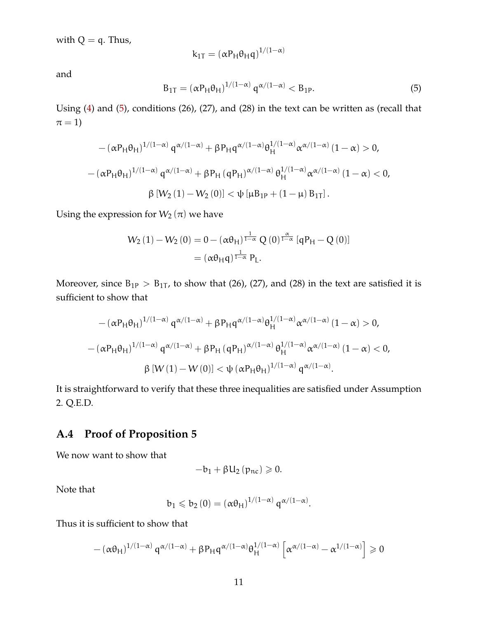with  $Q = q$ . Thus,

$$
k_{1T} = (\alpha P_H \theta_H q)^{1/(1-\alpha)}
$$

and

<span id="page-10-1"></span>
$$
B_{1T} = (\alpha P_H \theta_H)^{1/(1-\alpha)} q^{\alpha/(1-\alpha)} < B_{1P}.\tag{5}
$$

Using [\(4\)](#page-9-1) and [\(5\)](#page-10-1), conditions (26), (27), and (28) in the text can be written as (recall that  $\pi = 1$ 

$$
-(\alpha P_H \theta_H)^{1/(1-\alpha)} q^{\alpha/(1-\alpha)} + \beta P_H q^{\alpha/(1-\alpha)} \theta_H^{1/(1-\alpha)} \alpha^{\alpha/(1-\alpha)} (1-\alpha) > 0,
$$
  

$$
-(\alpha P_H \theta_H)^{1/(1-\alpha)} q^{\alpha/(1-\alpha)} + \beta P_H (q P_H)^{\alpha/(1-\alpha)} \theta_H^{1/(1-\alpha)} \alpha^{\alpha/(1-\alpha)} (1-\alpha) < 0,
$$
  

$$
\beta [W_2 (1) - W_2 (0)] < \psi [\mu B_{1P} + (1-\mu) B_{1T}].
$$

Using the expression for  $W_2(\pi)$  we have

$$
W_2(1) - W_2(0) = 0 - (\alpha \theta_H)^{\frac{1}{1-\alpha}} Q(0)^{\frac{\alpha}{1-\alpha}} [qP_H - Q(0)]
$$
  
=  $(\alpha \theta_H q)^{\frac{1}{1-\alpha}} P_L.$ 

Moreover, since  $B_{1P} > B_{1T}$ , to show that (26), (27), and (28) in the text are satisfied it is sufficient to show that

$$
-(\alpha P_H \theta_H)^{1/(1-\alpha)} q^{\alpha/(1-\alpha)} + \beta P_H q^{\alpha/(1-\alpha)} \theta_H^{1/(1-\alpha)} \alpha^{\alpha/(1-\alpha)} (1-\alpha) > 0,
$$
  

$$
-(\alpha P_H \theta_H)^{1/(1-\alpha)} q^{\alpha/(1-\alpha)} + \beta P_H (q P_H)^{\alpha/(1-\alpha)} \theta_H^{1/(1-\alpha)} \alpha^{\alpha/(1-\alpha)} (1-\alpha) < 0,
$$
  

$$
\beta [W(1) - W(0)] < \psi [\alpha P_H \theta_H)^{1/(1-\alpha)} q^{\alpha/(1-\alpha)}.
$$

It is straightforward to verify that these three inequalities are satisfied under Assumption 2. Q.E.D.

#### <span id="page-10-0"></span>**A.4 Proof of Proposition 5**

We now want to show that

$$
-b_{1}+\beta U_{2}\left( p_{nc}\right) \geqslant 0.
$$

Note that

$$
b_1 \leqslant b_2(0) = \left(\alpha \theta_H\right)^{1/(1-\alpha)} q^{\alpha/(1-\alpha)}.
$$

Thus it is sufficient to show that

$$
- \left(\alpha \theta_H\right)^{1/(1-\alpha)} \mathsf{q}^{\alpha/(1-\alpha)} + \beta P_H \mathsf{q}^{\alpha/(1-\alpha)} \theta_H^{1/(1-\alpha)} \left[\alpha^{\alpha/(1-\alpha)} - \alpha^{1/(1-\alpha)}\right] \geqslant 0
$$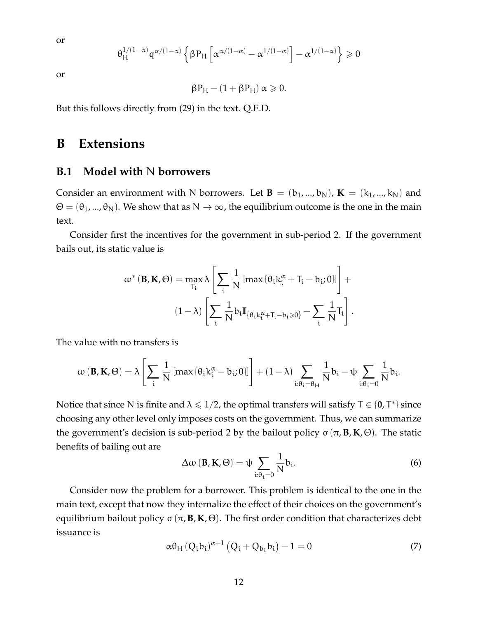or

$$
\theta_H^{1/(1-\alpha)} q^{\alpha/(1-\alpha)} \left\{\beta P_H \left[ \alpha^{\alpha/(1-\alpha)} - \alpha^{1/(1-\alpha)} \right] - \alpha^{1/(1-\alpha)} \right\} \geqslant 0
$$

or

$$
\beta P_H - (1 + \beta P_H) \alpha \geqslant 0.
$$

But this follows directly from (29) in the text. Q.E.D.

## <span id="page-11-0"></span>**B Extensions**

#### <span id="page-11-1"></span>**B.1 Model with** N **borrowers**

Consider an environment with N borrowers. Let  $\mathbf{B} = (b_1, ..., b_N)$ ,  $\mathbf{K} = (k_1, ..., k_N)$  and  $\Theta = (\theta_1, ..., \theta_N)$ . We show that as  $N \to \infty$ , the equilibrium outcome is the one in the main text.

Consider first the incentives for the government in sub-period 2. If the government bails out, its static value is

$$
\omega^* (\mathbf{B}, \mathbf{K}, \Theta) = \max_{T_i} \lambda \left[ \sum_i \frac{1}{N} \left[ \max \{ \theta_i k_i^{\alpha} + T_i - b_i; 0 \} \right] \right] +
$$

$$
(1 - \lambda) \left[ \sum_i \frac{1}{N} b_i \mathbb{I}_{\{ \theta_i k_i^{\alpha} + T_i - b_i \geqslant 0 \}} - \sum_i \frac{1}{N} T_i \right].
$$

The value with no transfers is

$$
\omega\left(\mathbf{B},\mathbf{K},\Theta\right)=\lambda\left[\sum_{i}\frac{1}{N}\left[\max\left\{\theta_{i}k_{i}^{\alpha}-b_{i};0\right\}\right]\right]+(1-\lambda)\sum_{i:\theta_{i}=\theta_{H}}\frac{1}{N}b_{i}-\psi\sum_{i:\theta_{i}=0}\frac{1}{N}b_{i}.
$$

Notice that since N is finite and  $\lambda \leq 1/2$ , the optimal transfers will satisfy T  $\in$  {0, T\*} since choosing any other level only imposes costs on the government. Thus, we can summarize the government's decision is sub-period 2 by the bailout policy σ (π,**B**, **K**, Θ). The static benefits of bailing out are

<span id="page-11-2"></span>
$$
\Delta \omega \left( \mathbf{B}, \mathbf{K}, \Theta \right) = \psi \sum_{\mathbf{i}: \theta_{\mathbf{i}} = 0} \frac{1}{N} b_{\mathbf{i}}.
$$
 (6)

Consider now the problem for a borrower. This problem is identical to the one in the main text, except that now they internalize the effect of their choices on the government's equilibrium bailout policy σ (π,**B**, **K**, Θ). The first order condition that characterizes debt issuance is

$$
\alpha \theta_{\rm H} \left( Q_i b_i \right)^{\alpha - 1} \left( Q_i + Q_{b_i} b_i \right) - 1 = 0 \tag{7}
$$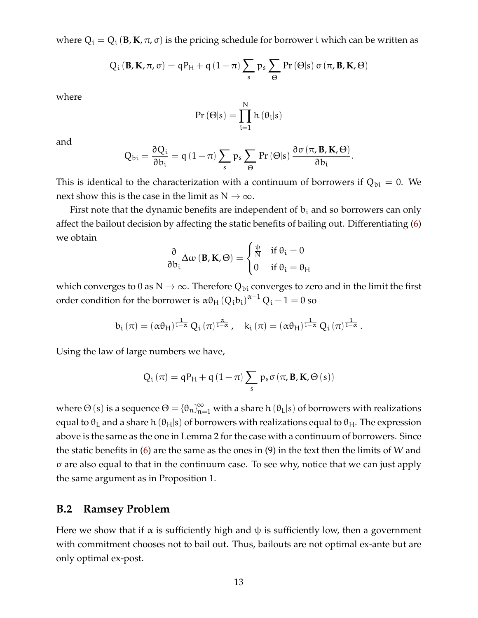where  $Q_i = Q_i$  (**B**, **K**,  $\pi$ ,  $\sigma$ ) is the pricing schedule for borrower i which can be written as

$$
Q_{i}(\mathbf{B}, \mathbf{K}, \pi, \sigma) = qP_{H} + q(1-\pi) \sum_{s} p_{s} \sum_{\Theta} Pr(\Theta|s) \sigma(\pi, \mathbf{B}, \mathbf{K}, \Theta)
$$

where

$$
Pr\left(\Theta|s\right)=\prod_{i=1}^{N}h\left(\theta_{i}|s\right)
$$

and

$$
Q_{bi} = \frac{\partial Q_i}{\partial b_i} = q (1 - \pi) \sum_s p_s \sum_{\Theta} Pr(\Theta|s) \frac{\partial \sigma(\pi, \mathbf{B}, \mathbf{K}, \Theta)}{\partial b_i}.
$$

This is identical to the characterization with a continuum of borrowers if  $Q_{bi} = 0$ . We next show this is the case in the limit as  $N \to \infty$ .

First note that the dynamic benefits are independent of  $b_i$  and so borrowers can only affect the bailout decision by affecting the static benefits of bailing out. Differentiating [\(6\)](#page-11-2) we obtain

$$
\frac{\partial}{\partial b_i}\Delta\omega\left(\mathbf{B},\mathbf{K},\Theta\right)=\begin{cases} \frac{\psi}{N} & \text{if }\theta_i=0\\ 0 & \text{if }\theta_i=\theta_H \end{cases}
$$

which converges to 0 as  $N \to \infty$ . Therefore  $Q_{bi}$  converges to zero and in the limit the first order condition for the borrower is  $\alpha\theta_{\rm H}\left({\rm Q_i b_i}\right)^{\alpha-1}{\rm Q_i}-1=0$  so

$$
b_{i}\left(\pi\right)=\left(\alpha\theta_{H}\right)^{\frac{1}{1-\alpha}}Q_{i}\left(\pi\right)^{\frac{\alpha}{1-\alpha}},\quad k_{i}\left(\pi\right)=\left(\alpha\theta_{H}\right)^{\frac{1}{1-\alpha}}Q_{i}\left(\pi\right)^{\frac{1}{1-\alpha}}.
$$

Using the law of large numbers we have,

$$
Q_{i}\left(\pi\right)=qP_{H}+q\left(1-\pi\right)\sum_{s}p_{s}\sigma\left(\pi,\mathbf{B},\mathbf{K},\Theta\left(s\right)\right)
$$

where  $\Theta$  (s) is a sequence  $\Theta = \{\theta_n\}_{n=1}^{\infty}$  with a share h ( $\theta_L|s$ ) of borrowers with realizations equal to  $\theta_L$  and a share h ( $\theta_H$ |s) of borrowers with realizations equal to  $\theta_H$ . The expression above is the same as the one in Lemma 2 for the case with a continuum of borrowers. Since the static benefits in  $(6)$  are the same as the ones in  $(9)$  in the text then the limits of W and σ are also equal to that in the continuum case. To see why, notice that we can just apply the same argument as in Proposition 1.

#### <span id="page-12-0"></span>**B.2 Ramsey Problem**

Here we show that if  $\alpha$  is sufficiently high and  $\psi$  is sufficiently low, then a government with commitment chooses not to bail out. Thus, bailouts are not optimal ex-ante but are only optimal ex-post.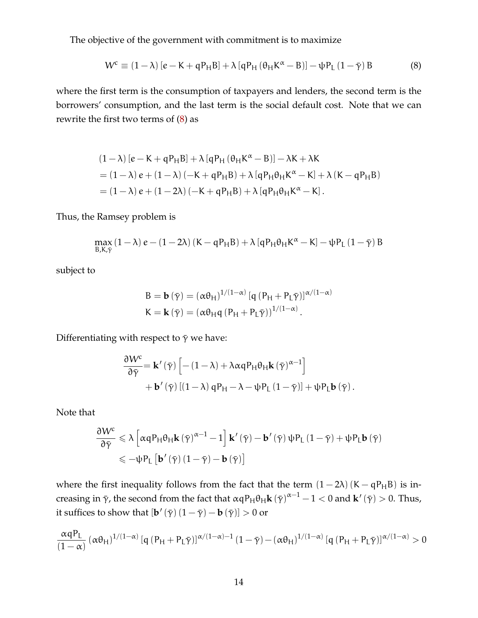The objective of the government with commitment is to maximize

<span id="page-13-0"></span>
$$
W^{c} \equiv (1 - \lambda) \left[ e - K + qP_{H}B \right] + \lambda \left[ qP_{H} \left( \theta_{H} K^{\alpha} - B \right) \right] - \psi P_{L} \left( 1 - \bar{\gamma} \right) B \tag{8}
$$

where the first term is the consumption of taxpayers and lenders, the second term is the borrowers' consumption, and the last term is the social default cost. Note that we can rewrite the first two terms of [\(8\)](#page-13-0) as

$$
(1 - \lambda) [e - K + qP_H B] + \lambda [qP_H (\theta_H K^{\alpha} - B)] - \lambda K + \lambda K
$$
  
= (1 - \lambda) e + (1 - \lambda) (-K + qP\_H B) + \lambda [qP\_H \theta\_H K^{\alpha} - K] + \lambda (K - qP\_H B)  
= (1 - \lambda) e + (1 - 2\lambda) (-K + qP\_H B) + \lambda [qP\_H \theta\_H K^{\alpha} - K].

Thus, the Ramsey problem is

$$
\max_{B,K,\bar{\gamma}}\left(1-\lambda\right)\boldsymbol{e}-\left(1-2\lambda\right)\left(\boldsymbol{K}-\boldsymbol{q}\boldsymbol{P}_{\boldsymbol{H}}\boldsymbol{B}\right)+\lambda\left[\boldsymbol{q}\boldsymbol{P}_{\boldsymbol{H}}\boldsymbol{\theta}_{\boldsymbol{H}}\boldsymbol{K}^{\alpha}-\boldsymbol{K}\right]-\boldsymbol{\psi}\boldsymbol{P}_{L}\left(1-\bar{\gamma}\right)\boldsymbol{B}
$$

subject to

B = **b** 
$$
(\bar{\gamma}) = (\alpha \theta_H)^{1/(1-\alpha)} [q (P_H + P_L \bar{\gamma})]^{\alpha/(1-\alpha)}
$$
  
K = **k**  $(\bar{\gamma}) = (\alpha \theta_H q (P_H + P_L \bar{\gamma}))^{1/(1-\alpha)}$ .

Differentiating with respect to  $\bar{\gamma}$  we have:

$$
\begin{aligned} \frac{\partial W^{c}}{\partial \bar{\gamma}}&=\mathbf{k}^{\prime}\left(\bar{\gamma}\right)\left[-\left(1-\lambda\right)+\lambda\alpha qP_{H}\theta_{H}\mathbf{k}\left(\bar{\gamma}\right)^{\alpha-1}\right] \right. \\ & \left.+\mathbf{b}^{\prime}\left(\bar{\gamma}\right)\left[\left(1-\lambda\right)qP_{H}-\lambda-\psi P_{L}\left(1-\bar{\gamma}\right)\right]+\psi P_{L}\mathbf{b}\left(\bar{\gamma}\right).\end{aligned}
$$

Note that

$$
\begin{aligned} \frac{\partial W^{c}}{\partial \bar{\gamma}} & \leqslant \lambda \left[ \alpha q P_{H} \theta_{H} \mathbf{k} \left( \bar{\gamma} \right)^{\alpha-1} - 1 \right] \mathbf{k}' \left( \bar{\gamma} \right) - \mathbf{b}' \left( \bar{\gamma} \right) \psi P_{L} \left( 1 - \bar{\gamma} \right) + \psi P_{L} \mathbf{b} \left( \bar{\gamma} \right) \\ & \leqslant - \psi P_{L} \left[ \mathbf{b}' \left( \bar{\gamma} \right) \left( 1 - \bar{\gamma} \right) - \mathbf{b} \left( \bar{\gamma} \right) \right] \end{aligned}
$$

where the first inequality follows from the fact that the term  $(1 - 2\lambda) (K - qP_HB)$  is increasing in  $\bar{\gamma}$ , the second from the fact that αqP<sub>H</sub>θ<sub>H</sub>**k** ( $\bar{\gamma}$ )<sup>α−1</sup> − 1 < 0 and **k**′ ( $\bar{\gamma}$ ) > 0. Thus, it suffices to show that  $[\mathbf{b}'(\bar{\gamma}) (1 - \bar{\gamma}) - \mathbf{b} (\bar{\gamma})] > 0$  or

$$
\frac{\alpha q P_L}{(1-\alpha)} \left(\alpha \theta_H\right)^{1/(1-\alpha)} [q \left(P_H + P_L \bar{\gamma}\right)]^{\alpha/(1-\alpha)-1} \left(1-\bar{\gamma}\right) - \left(\alpha \theta_H\right)^{1/(1-\alpha)} [q \left(P_H + P_L \bar{\gamma}\right)]^{\alpha/(1-\alpha)} > 0
$$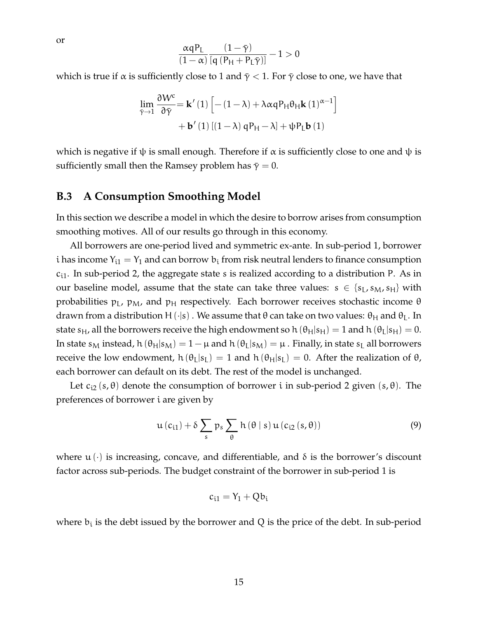$$
\frac{\alpha q P_L}{(1-\alpha)}\frac{(1-\bar{\gamma})}{[q\ (P_H+P_L\bar{\gamma})]}-1>0
$$

which is true if  $\alpha$  is sufficiently close to 1 and  $\bar{\gamma}$  < 1. For  $\bar{\gamma}$  close to one, we have that

$$
\lim_{\tilde{\gamma}\to 1} \frac{\partial W^c}{\partial \tilde{\gamma}} = \mathbf{k}'\left(1\right) \left[ -(1-\lambda) + \lambda \alpha q P_H \theta_H \mathbf{k}\left(1\right)^{\alpha-1} \right] + \mathbf{b}'\left(1\right) \left[ (1-\lambda) q P_H - \lambda \right] + \psi P_L \mathbf{b}\left(1\right)
$$

which is negative if  $\psi$  is small enough. Therefore if  $\alpha$  is sufficiently close to one and  $\psi$  is sufficiently small then the Ramsey problem has  $\bar{\gamma} = 0$ .

## <span id="page-14-0"></span>**B.3 A Consumption Smoothing Model**

In this section we describe a model in which the desire to borrow arises from consumption smoothing motives. All of our results go through in this economy.

All borrowers are one-period lived and symmetric ex-ante. In sub-period 1, borrower i has income  $Y_{i1} = Y_1$  and can borrow  $b_i$  from risk neutral lenders to finance consumption  $c_{i1}$ . In sub-period 2, the aggregate state s is realized according to a distribution P. As in our baseline model, assume that the state can take three values:  $s \in \{s_L, s_M, s_H\}$  with probabilities  $p_L$ ,  $p_M$ , and  $p_H$  respectively. Each borrower receives stochastic income  $\theta$ drawn from a distribution H( $\cdot$ |s). We assume that θ can take on two values: θ<sub>H</sub> and θ<sub>L</sub>. In state s<sub>H</sub>, all the borrowers receive the high endowment so h ( $\theta_H|s_H$ ) = 1 and h ( $\theta_L|s_H$ ) = 0. In state s<sub>M</sub> instead, h  $(\theta_H|s_M) = 1 - \mu$  and h  $(\theta_L|s_M) = \mu$ . Finally, in state s<sub>L</sub> all borrowers receive the low endowment,  $h(\theta_L|s_L) = 1$  and  $h(\theta_H|s_L) = 0$ . After the realization of  $\theta$ , each borrower can default on its debt. The rest of the model is unchanged.

Let  $c_{i2}(s, \theta)$  denote the consumption of borrower i in sub-period 2 given  $(s, \theta)$ . The preferences of borrower i are given by

$$
u(c_{i1}) + \delta \sum_{s} p_s \sum_{\theta} h(\theta \mid s) u(c_{i2}(s, \theta))
$$
\n(9)

where  $\mathfrak{u}(\cdot)$  is increasing, concave, and differentiable, and  $\delta$  is the borrower's discount factor across sub-periods. The budget constraint of the borrower in sub-period 1 is

$$
c_{i1} = Y_1 + Qb_i
$$

where  $b_i$  is the debt issued by the borrower and Q is the price of the debt. In sub-period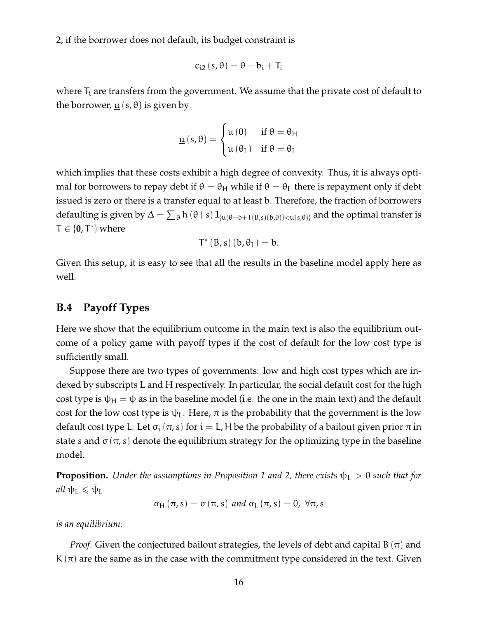2, if the borrower does not default, its budget constraint is

$$
c_{i2}\left(s,\theta\right)=\theta-b_{i}+T_{i}
$$

where  $T_i$  are transfers from the government. We assume that the private cost of default to the borrower,  $\underline{u}$  (s,  $\theta$ ) is given by

$$
\underline{u}\left(s,\theta\right) = \begin{cases} u\left(0\right) & \text{if } \theta = \theta_{H} \\ u\left(\theta_{L}\right) & \text{if } \theta = \theta_{L} \end{cases}
$$

which implies that these costs exhibit a high degree of convexity. Thus, it is always optimal for borrowers to repay debt if  $\theta = \theta_H$  while if  $\theta = \theta_L$  there is repayment only if debt issued is zero or there is a transfer equal to at least b. Therefore, the fraction of borrowers defaulting is given by  $\Delta = \sum_{\theta} h(\theta | s) \mathbb{I}_{\{u(\theta - b + T(B, s)(b, \theta)) < \underline{u}(s, \theta)\}}$  and the optimal transfer is  $T \in \{0, T^*\}$  where

$$
T^{\ast}\left( B,s\right) \left( b,\theta_{L}\right) =b.
$$

Given this setup, it is easy to see that all the results in the baseline model apply here as well.

#### <span id="page-15-0"></span>**B.4 Payoff Types**

Here we show that the equilibrium outcome in the main text is also the equilibrium outcome of a policy game with payoff types if the cost of default for the low cost type is sufficiently small.

Suppose there are two types of governments: low and high cost types which are indexed by subscripts L and H respectively. In particular, the social default cost for the high cost type is  $\psi_H = \psi$  as in the baseline model (i.e. the one in the main text) and the default cost for the low cost type is  $\psi$ <sub>L</sub>. Here,  $\pi$  is the probability that the government is the low default cost type L. Let  $\sigma_i(\pi, s)$  for  $i = L$ , H be the probability of a bailout given prior  $\pi$  in state s and  $\sigma(\pi, s)$  denote the equilibrium strategy for the optimizing type in the baseline model.

**Proposition.** Under the assumptions in Proposition 1 and 2, there exists  $\bar{\psi}_L > 0$  such that for  $all \psi_L \leqslant \bar{\psi}_L$ 

$$
\sigma_H(\pi, s) = \sigma(\pi, s)
$$
 and  $\sigma_L(\pi, s) = 0$ ,  $\forall \pi, s$ 

*is an equilibrium.*

*Proof.* Given the conjectured bailout strategies, the levels of debt and capital B  $(\pi)$  and K  $(\pi)$  are the same as in the case with the commitment type considered in the text. Given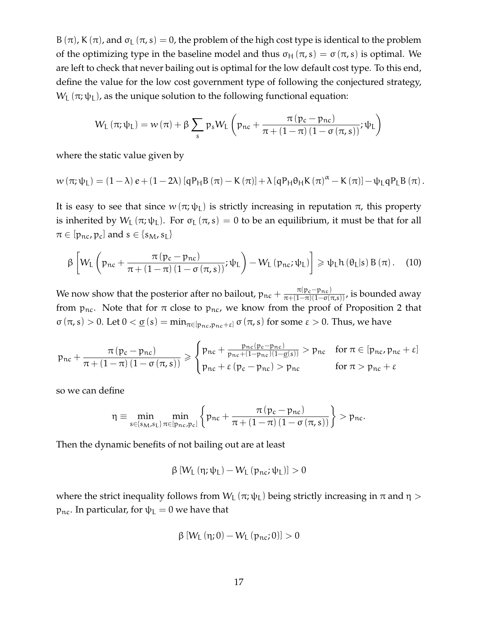B (π), K (π), and  $\sigma$ <sub>L</sub> (π, s) = 0, the problem of the high cost type is identical to the problem of the optimizing type in the baseline model and thus  $\sigma_H(\pi, s) = \sigma(\pi, s)$  is optimal. We are left to check that never bailing out is optimal for the low default cost type. To this end, define the value for the low cost government type of following the conjectured strategy,  $W_L(\pi; \psi_L)$ , as the unique solution to the following functional equation:

$$
W_{L}\left(\pi;\psi_{L}\right)=w\left(\pi\right)+\beta\sum_{s}p_{s}W_{L}\left(p_{nc}+\frac{\pi\left(p_{c}-p_{nc}\right)}{\pi+\left(1-\pi\right)\left(1-\sigma\left(\pi,s\right)\right)};\psi_{L}\right)
$$

where the static value given by

$$
w(\pi;\psi_L)=(1-\lambda) e+(1-2\lambda) [qP_HB(\pi)-K(\pi)]+\lambda [qP_H\theta_HK(\pi)^{\alpha}-K(\pi)]-\psi_LqP_LB(\pi).
$$

It is easy to see that since  $w(\pi;\psi_L)$  is strictly increasing in reputation  $\pi$ , this property is inherited by  $W_L(\pi;\psi_L)$ . For  $\sigma_L(\pi,s) = 0$  to be an equilibrium, it must be that for all  $\pi \in [p_{\text{nc}}, p_{\text{c}}]$  and  $s \in \{s_M, s_L\}$ 

<span id="page-16-0"></span>
$$
\beta \left[ W_{L} \left( p_{nc} + \frac{\pi (p_c - p_{nc})}{\pi + (1 - \pi) (1 - \sigma (\pi, s))}; \psi_L \right) - W_{L} \left( p_{nc}; \psi_L \right) \right] \geqslant \psi_L h \left( \theta_L | s \right) B \left( \pi \right). \tag{10}
$$

We now show that the posterior after no bailout,  $p_{nc} + \frac{\pi(p_c - p_{nc})}{\pi + (1 - \pi)(1 - \sigma(\pi, s))}$ , is bounded away from  $p_{nc}$ . Note that for  $\pi$  close to  $p_{nc}$ , we know from the proof of Proposition 2 that  $\sigma(\pi, s) > 0$ . Let  $0 < \underline{\sigma}(s) = \min_{\pi \in [p_{nc}, p_{nc} + \epsilon]} \sigma(\pi, s)$  for some  $\epsilon > 0$ . Thus, we have

$$
p_{nc} + \frac{\pi\left(p_c - p_{nc}\right)}{\pi + \left(1 - \pi\right)\left(1 - \sigma\left(\pi, s\right)\right)} \geqslant \begin{cases} p_{nc} + \frac{p_{nc}\left(p_c - p_{nc}\right)}{p_{nc} + \left(1 - p_{nc}\right)\left(1 - \underline{\sigma}\left(s\right)\right)} > p_{nc} & \text{for } \pi \in [p_{nc}, p_{nc} + \epsilon] \\ p_{nc} + \epsilon\left(p_c - p_{nc}\right) > p_{nc} & \text{for } \pi > p_{nc} + \epsilon \end{cases}
$$

so we can define

$$
\eta \equiv \min_{s \in \left\{s_M, s_L\right\}} \min_{\pi \in \left[p_{\text{nc}}, p_c\right]} \left\{p_{\text{nc}} + \frac{\pi \left(p_c - p_{\text{nc}}\right)}{\pi + \left(1 - \pi\right)\left(1 - \sigma \left(\pi, s\right)\right)}\right\} > p_{\text{nc}}.
$$

Then the dynamic benefits of not bailing out are at least

$$
\beta \left[ W_L \left( \eta; \psi_L \right) - W_L \left( p_{nc}; \psi_L \right) \right] > 0
$$

where the strict inequality follows from  $W_L (\pi; \psi_L)$  being strictly increasing in  $\pi$  and  $\eta$  > p<sub>nc</sub>. In particular, for  $ψ$ <sub>L</sub> = 0 we have that

$$
\beta \left[ W_L \left( \eta; 0 \right) - W_L \left( p_{nc}; 0 \right) \right] > 0
$$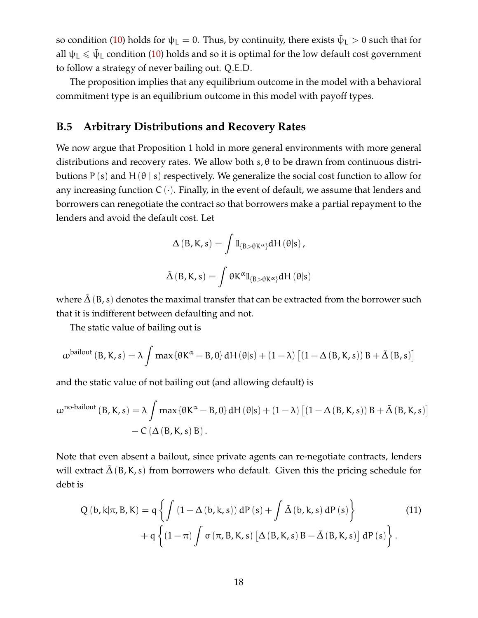so condition [\(10\)](#page-16-0) holds for  $\psi_L = 0$ . Thus, by continuity, there exists  $\bar{\psi}_L > 0$  such that for all  $\psi_{\rm L}\leqslant\bar{\psi}_{\rm L}$  condition [\(10\)](#page-16-0) holds and so it is optimal for the low default cost government to follow a strategy of never bailing out. Q.E.D.

The proposition implies that any equilibrium outcome in the model with a behavioral commitment type is an equilibrium outcome in this model with payoff types.

#### <span id="page-17-0"></span>**B.5 Arbitrary Distributions and Recovery Rates**

We now argue that Proposition 1 hold in more general environments with more general distributions and recovery rates. We allow both  $s$ ,  $\theta$  to be drawn from continuous distributions P (s) and H  $(\theta \mid s)$  respectively. We generalize the social cost function to allow for any increasing function  $C(\cdot)$ . Finally, in the event of default, we assume that lenders and borrowers can renegotiate the contract so that borrowers make a partial repayment to the lenders and avoid the default cost. Let

$$
\Delta(B, K, s) = \int \mathbb{I}_{\{B > \theta K^{\alpha}\}} dH(\theta|s),
$$
  

$$
\tilde{\Delta}(B, K, s) = \int \theta K^{\alpha} \mathbb{I}_{\{B > \theta K^{\alpha}\}} dH(\theta|s)
$$

where  $\tilde{\Delta}(B, s)$  denotes the maximal transfer that can be extracted from the borrower such that it is indifferent between defaulting and not.

The static value of bailing out is

$$
\omega^{\text{bailout}}\left(B, K, s\right) = \lambda \int \max\left\{\theta K^{\alpha} - B, 0\right\} dH\left(\theta | s\right) + (1 - \lambda) \left[\left(1 - \Delta\left(B, K, s\right)\right) B + \tilde{\Delta}\left(B, s\right)\right]
$$

and the static value of not bailing out (and allowing default) is

$$
\omega^{\text{no-bailout}}(B, K, s) = \lambda \int \max \{ \theta K^{\alpha} - B, 0 \} dH(\theta|s) + (1 - \lambda) \left[ (1 - \Delta(B, K, s)) B + \tilde{\Delta}(B, K, s) \right] - C \left( \Delta(B, K, s) B \right).
$$

Note that even absent a bailout, since private agents can re-negotiate contracts, lenders will extract  $\tilde{\Delta}$  (B, K, s) from borrowers who default. Given this the pricing schedule for debt is

$$
Q(b,k|\pi,B,K) = q \left\{ \int (1 - \Delta(b,k,s)) dP(s) + \int \tilde{\Delta}(b,k,s) dP(s) \right\} + q \left\{ (1 - \pi) \int \sigma(\pi,B,K,s) [\Delta(B,K,s) B - \tilde{\Delta}(B,K,s)] dP(s) \right\}.
$$
 (11)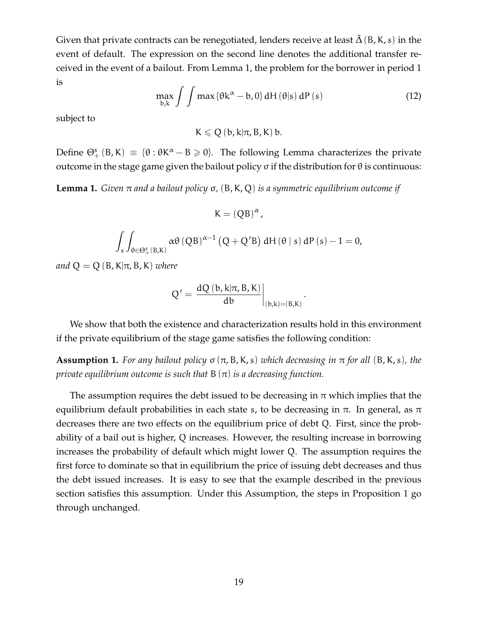Given that private contracts can be renegotiated, lenders receive at least  $\tilde{\Delta}$  (B, K, s) in the event of default. The expression on the second line denotes the additional transfer received in the event of a bailout. From Lemma 1, the problem for the borrower in period 1 is

$$
\max_{b,k} \int \int \max \{ \theta k^{\alpha} - b, 0 \} dH(\theta|s) dP(s)
$$
 (12)

subject to

 $K \leq Q$  (b, k| $\pi$ , B, K) b.

Define  $\Theta^s_+$  (B, K) = { $\theta$  :  $\theta$ K<sup> $\alpha$ </sup> – B  $\geq$  0}. The following Lemma characterizes the private outcome in the stage game given the bailout policy σ if the distribution for θ is continuous:

**Lemma 1.** *Given* π *and a bailout policy* σ*,* (B,K, Q) *is a symmetric equilibrium outcome if*

$$
K=(QB)^{\alpha},
$$

$$
\int_{s}\int_{\theta\in\Theta_{+}^{s}(B,K)}\alpha\theta\left(QB\right)^{\alpha-1}\left(Q+Q'B\right)dH\left(\theta\mid s\right)dP\left(s\right)-1=0,
$$

*and*  $Q = Q(B, K | \pi, B, K)$  *where* 

$$
Q' = \left. \frac{dQ(b, k | \pi, B, K)}{db} \right|_{(b,k)=(B,K)}.
$$

We show that both the existence and characterization results hold in this environment if the private equilibrium of the stage game satisfies the following condition:

**Assumption 1.** For any bailout policy  $\sigma(\pi, B, K, s)$  which decreasing in  $\pi$  for all  $(B, K, s)$ , the *private equilibrium outcome is such that* B (π) *is a decreasing function.*

The assumption requires the debt issued to be decreasing in  $\pi$  which implies that the equilibrium default probabilities in each state s, to be decreasing in  $\pi$ . In general, as  $\pi$ decreases there are two effects on the equilibrium price of debt Q. First, since the probability of a bail out is higher, Q increases. However, the resulting increase in borrowing increases the probability of default which might lower Q. The assumption requires the first force to dominate so that in equilibrium the price of issuing debt decreases and thus the debt issued increases. It is easy to see that the example described in the previous section satisfies this assumption. Under this Assumption, the steps in Proposition 1 go through unchanged.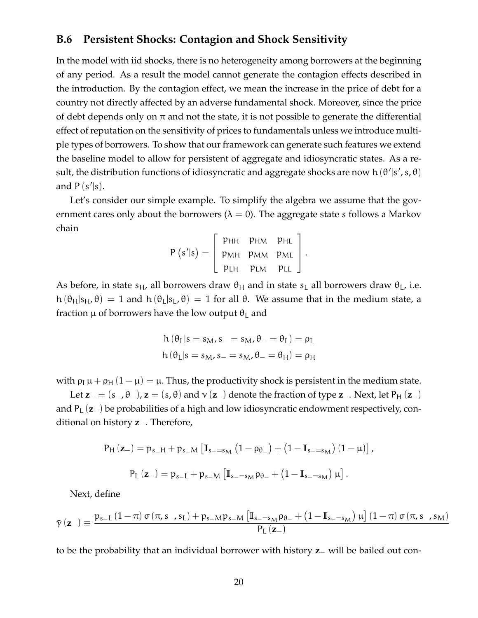#### <span id="page-19-0"></span>**B.6 Persistent Shocks: Contagion and Shock Sensitivity**

In the model with iid shocks, there is no heterogeneity among borrowers at the beginning of any period. As a result the model cannot generate the contagion effects described in the introduction. By the contagion effect, we mean the increase in the price of debt for a country not directly affected by an adverse fundamental shock. Moreover, since the price of debt depends only on  $\pi$  and not the state, it is not possible to generate the differential effect of reputation on the sensitivity of prices to fundamentals unless we introduce multiple types of borrowers. To show that our framework can generate such features we extend the baseline model to allow for persistent of aggregate and idiosyncratic states. As a result, the distribution functions of idiosyncratic and aggregate shocks are now h  $(\theta'|s', s, \theta)$ and  $P(s'|s)$ .

Let's consider our simple example. To simplify the algebra we assume that the government cares only about the borrowers ( $\lambda = 0$ ). The aggregate state s follows a Markov chain

$$
P(s'|s) = \left[\begin{array}{cc} p_{HH} & p_{HM} & p_{HL} \\ p_{MH} & p_{MM} & p_{ML} \\ p_{LH} & p_{LM} & p_{LL} \end{array}\right].
$$

As before, in state  $s_H$ , all borrowers draw  $\theta_H$  and in state  $s_L$  all borrowers draw  $\theta_L$ , i.e. h  $(\theta_H|s_H, \theta) = 1$  and h  $(\theta_L|s_L, \theta) = 1$  for all  $\theta$ . We assume that in the medium state, a fraction  $\mu$  of borrowers have the low output  $\theta_{\text{I}}$  and

$$
h(\theta_L|s = s_M, s_- = s_M, \theta_- = \theta_L) = \rho_L
$$
  

$$
h(\theta_L|s = s_M, s_- = s_M, \theta_- = \theta_H) = \rho_H
$$

with  $\rho_L \mu + \rho_H (1 - \mu) = \mu$ . Thus, the productivity shock is persistent in the medium state.

Let  $z_=(s_-, \theta_-)$ ,  $z=(s, \theta)$  and  $\gamma(z_-)$  denote the fraction of type  $z_-\$ . Next, let P<sub>H</sub> ( $z_-\$ ) and  $P_{I}$  ( $z_{-}$ ) be probabilities of a high and low idiosyncratic endowment respectively, conditional on history **z**−. Therefore,

$$
\begin{aligned} P_{H}\left(\mathbf{z}_{-}\right) &= p_{s_{-}H} + p_{s_{-}M}\left[\mathbb{I}_{s_{-}=s_{M}}\left(1-\rho_{\theta_{-}}\right)+\left(1-\mathbb{I}_{s_{-}=s_{M}}\right)\left(1-\mu\right)\right], \\ P_{L}\left(\mathbf{z}_{-}\right) &= p_{s_{-}L} + p_{s_{-}M}\left[\mathbb{I}_{s_{-}=s_{M}}\rho_{\theta_{-}}+\left(1-\mathbb{I}_{s_{-}=s_{M}}\right)\mu\right]. \end{aligned}
$$

Next, define

$$
\bar{\gamma}\left(\mathbf{z}_{-}\right)\equiv\frac{p_{s\!-\!L}\left(1-\pi\right)\sigma\left(\pi,s_{-},s_{L}\right)+p_{s\!-\!M}p_{s\!-\!M}\left[\mathbb{I}_{s\!-\!s_{M}}\rho_{\theta_{-}}+\left(1-\mathbb{I}_{s\!-\!s_{M}}\right)\mu\right]\left(1-\pi\right)\sigma\left(\pi,s_{-},s_{M}\right)}{P_{L}\left(\mathbf{z}_{-}\right)}
$$

to be the probability that an individual borrower with history **z**− will be bailed out con-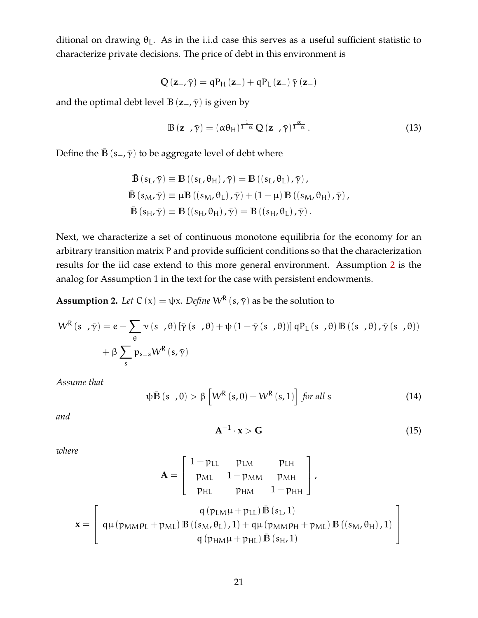ditional on drawing  $\theta_L$ . As in the i.i.d case this serves as a useful sufficient statistic to characterize private decisions. The price of debt in this environment is

$$
Q\left(\mathbf{z}_{-},\bar{\boldsymbol{\gamma}}\right)=qP_{H}\left(\mathbf{z}_{-}\right)+qP_{L}\left(\mathbf{z}_{-}\right)\bar{\boldsymbol{\gamma}}\left(\mathbf{z}_{-}\right)
$$

and the optimal debt level **B** ( $z_$ –,  $\bar{\gamma}$ ) is given by

$$
\mathbb{B}\left(\mathbf{z}_{-},\bar{\gamma}\right) = \left(\alpha\theta_{\mathsf{H}}\right)^{\frac{1}{1-\alpha}}\mathbb{Q}\left(\mathbf{z}_{-},\bar{\gamma}\right)^{\frac{\alpha}{1-\alpha}}.\tag{13}
$$

Define the  $\bar{\mathbb{B}}$  (s<sub>−</sub>,  $\bar{\gamma}$ ) to be aggregate level of debt where

$$
\begin{aligned}\n\bar{\mathbb{B}}\left(s_{\mathrm{L}},\bar{\gamma}\right) &\equiv \mathbb{B}\left(\left(s_{\mathrm{L}},\theta_{\mathrm{H}}\right),\bar{\gamma}\right) = \mathbb{B}\left(\left(s_{\mathrm{L}},\theta_{\mathrm{L}}\right),\bar{\gamma}\right), \\
\bar{\mathbb{B}}\left(s_{\mathrm{M}},\bar{\gamma}\right) &\equiv \mu \mathbb{B}\left(\left(s_{\mathrm{M}},\theta_{\mathrm{L}}\right),\bar{\gamma}\right) + \left(1-\mu\right) \mathbb{B}\left(\left(s_{\mathrm{M}},\theta_{\mathrm{H}}\right),\bar{\gamma}\right), \\
\bar{\mathbb{B}}\left(s_{\mathrm{H}},\bar{\gamma}\right) &\equiv \mathbb{B}\left(\left(s_{\mathrm{H}},\theta_{\mathrm{H}}\right),\bar{\gamma}\right) = \mathbb{B}\left(\left(s_{\mathrm{H}},\theta_{\mathrm{L}}\right),\bar{\gamma}\right).\n\end{aligned}
$$

Next, we characterize a set of continuous monotone equilibria for the economy for an arbitrary transition matrix P and provide sufficient conditions so that the characterization results for the iid case extend to this more general environment. Assumption [2](#page-20-0) is the analog for Assumption 1 in the text for the case with persistent endowments.

<span id="page-20-0"></span>**Assumption 2.** *Let*  $C(x) = \psi x$ *. Define*  $W^{R}(s, \bar{\gamma})$  as be the solution to

$$
W^{R}\left(s_{-},\bar{\gamma}\right)=e-\sum_{\theta}\nu\left(s_{-},\theta\right)\left[\bar{\gamma}\left(s_{-},\theta\right)+\psi\left(1-\bar{\gamma}\left(s_{-},\theta\right)\right)\right]qP_{L}\left(s_{-},\theta\right)\mathbb{B}\left(\left(s_{-},\theta\right),\bar{\gamma}\left(s_{-},\theta\right)\right)\n+ \beta\sum_{s}p_{s_{-}s}W^{R}\left(s,\bar{\gamma}\right)
$$

*Assume that*

<span id="page-20-1"></span>
$$
\psi \bar{\mathbb{B}}\left(s_{-},0\right) > \beta \left[W^{R}\left(s,0\right) - W^{R}\left(s,1\right)\right] \text{ for all } s \tag{14}
$$

*and*

<span id="page-20-2"></span>
$$
\mathbf{A}^{-1} \cdot \mathbf{x} > \mathbf{G} \tag{15}
$$

*where*

$$
\mathbf{A} = \begin{bmatrix} 1 - p_{LL} & p_{LM} & p_{LH} \\ p_{ML} & 1 - p_{MM} & p_{MH} \\ p_{HL} & p_{HM} & 1 - p_{HH} \end{bmatrix},
$$

$$
\mathbf{x} = \begin{bmatrix} q(p_{LM}\mu + p_{LL}) \mathbf{B}(s_L, 1) \\ q(p_{MM}\mu + p_{LL}) \mathbf{B}((s_M, \theta_L), 1) + q\mu(p_{MM}\rho_H + p_{ML}) \mathbf{B}((s_M, \theta_H), 1) \\ q(p_{HM}\mu + p_{HL}) \mathbf{B}(s_H, 1) \end{bmatrix}
$$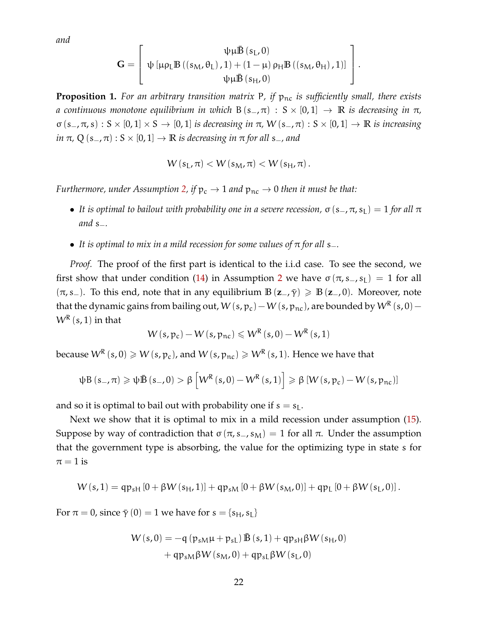*and*

$$
\mathbf{G} = \left[ \begin{array}{c} \psi \mu \bar{\mathbb{B}} \left( s_L, 0 \right) \\ \psi \left[ \mu \rho_L \mathbb{B} \left( \left( s_M, \theta_L \right), 1 \right) + \left( 1 - \mu \right) \rho_H \mathbb{B} \left( \left( s_M, \theta_H \right), 1 \right) \right] \\ \psi \mu \bar{\mathbb{B}} \left( s_H, 0 \right) \end{array} \right].
$$

**Proposition 1.** For an arbitrary transition matrix P, if  $p_{nc}$  is sufficiently small, there exists *a* continuous monotone equilibrium in which B(s<sub>−</sub>, π) : S × [0, 1]  $\rightarrow \mathbb{R}$  is decreasing in π, σ (s−, π, s) : S × [0, 1] × S → [0, 1] *is decreasing in* π*,* W (s−, π) : S × [0, 1] → **R** *is increasing in*  $\pi$ , Q (s<sub>−</sub>, $\pi$ ) : S × [0, 1]  $\rightarrow \mathbb{R}$  *is decreasing in*  $\pi$  *for all* s<sub>−</sub>*, and* 

$$
W(s_L, \pi) < W(s_M, \pi) < W(s_H, \pi).
$$

*Furthermore, under Assumption [2,](#page-20-0) if*  $p_c \rightarrow 1$  *and*  $p_{nc} \rightarrow 0$  *then it must be that:* 

- It is optimal to bailout with probability one in a severe recession,  $\sigma(s_-, \pi, s_L) = 1$  for all  $\pi$ *and* s<sub>−</sub>*.*
- It is optimal to mix in a mild recession for some values of π for all s<sup>−</sup>.

*Proof.* The proof of the first part is identical to the i.i.d case. To see the second, we first show that under condition [\(14\)](#page-20-1) in Assumption [2](#page-20-0) we have  $\sigma(\pi, s_-, s_1) = 1$  for all  $(\pi, s_-)$ . To this end, note that in any equilibrium  $\mathbb{B}(\mathbf{z}_-, \bar{\gamma}) \geq \mathbb{B}(\mathbf{z}_-, 0)$ . Moreover, note that the dynamic gains from bailing out, W (s, p<sub>c</sub>) – W (s, p<sub>nc</sub>), are bounded by  $W^\mathsf{R}$  (s, 0) –  $W^{\mathsf{R}}\left( \mathsf{s},1 \right)$  in that

$$
W(s, p_c) - W(s, p_{nc}) \leqslant W^R(s, 0) - W^R(s, 1)
$$

because  $\mathsf{W}^{\mathsf{R}}\left( s,0\right)\geqslant \mathsf{W}\left( s,\mathsf{p}_{\mathsf{c}}\right)$  , and  $\mathsf{W}\left( s,\mathsf{p}_{\mathsf{nc}}\right)\geqslant \mathsf{W}^{\mathsf{R}}\left( s,1\right)$ . Hence we have that

$$
\psi B\left(s_{-},\pi\right) \geqslant \psi \bar{B}\left(s_{-},0\right) > \beta \left[W^{R}\left(s,0\right) - W^{R}\left(s,1\right)\right] \geqslant \beta \left[W\left(s,p_{c}\right) - W\left(s,p_{nc}\right)\right]
$$

and so it is optimal to bail out with probability one if  $s = s<sub>L</sub>$ .

Next we show that it is optimal to mix in a mild recession under assumption [\(15\)](#page-20-2). Suppose by way of contradiction that  $\sigma(\pi, s_-, s_M) = 1$  for all  $\pi$ . Under the assumption that the government type is absorbing, the value for the optimizing type in state s for  $\pi = 1$  is

$$
W(s,1) = qp_{sH} [0 + \beta W(s_{H}, 1)] + qp_{sM} [0 + \beta W(s_{M}, 0)] + qp_{L} [0 + \beta W(s_{L}, 0)].
$$

For  $\pi = 0$ , since  $\bar{\gamma}(0) = 1$  we have for  $s = \{s_H, s_L\}$ 

$$
W(s,0) = -q (p_{sM}\mu + p_{sL}) \bar{B}(s,1) + qp_{sH}\beta W(s_H,0)
$$

$$
+ qp_{sM}\beta W(s_M,0) + qp_{sL}\beta W(s_L,0)
$$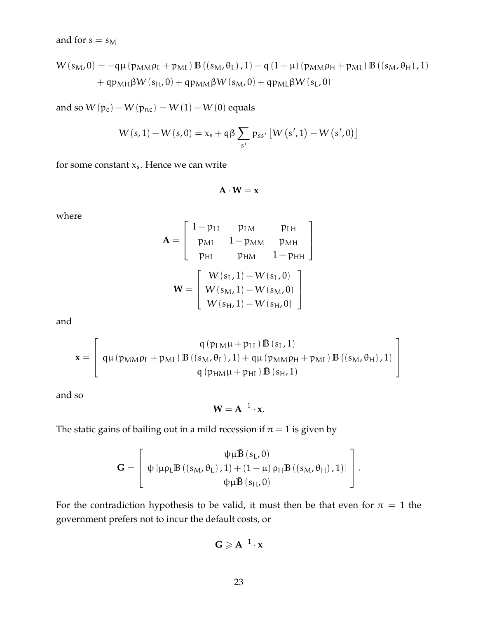and for  $s = s_M$ 

$$
W(s_{M},0) = -q\mu (p_{MM}\rho_{L} + p_{ML}) B ((s_{M},\theta_{L}),1) - q (1 - \mu) (p_{MM}\rho_{H} + p_{ML}) B ((s_{M},\theta_{H}),1) + qp_{MH}\beta W(s_{H},0) + qp_{MM}\beta W(s_{M},0) + qp_{ML}\beta W(s_{L},0)
$$

and so  $W(p_c) - W(p_{nc}) = W(1) - W(0)$  equals

$$
W\left(s,1\right)-W\left(s,0\right)=x_{s}+q\beta\sum_{s'}p_{ss'}\left[W\left(s',1\right)-W\left(s',0\right)\right]
$$

for some constant  $x_s$ . Hence we can write

 $A \cdot W = x$ 

where

$$
\mathbf{A} = \begin{bmatrix} 1 - p_{LL} & p_{LM} & p_{LH} \\ p_{ML} & 1 - p_{MM} & p_{MH} \\ p_{HL} & p_{HM} & 1 - p_{HH} \end{bmatrix}
$$

$$
\mathbf{W} = \begin{bmatrix} W(s_L, 1) - W(s_L, 0) \\ W(s_M, 1) - W(s_M, 0) \\ W(s_H, 1) - W(s_H, 0) \end{bmatrix}
$$

and

$$
\mathbf{x} = \left[ \begin{array}{c} q\left(p_{LM}\mu + p_{LL}\right)\bar{\mathbb{B}}\left(s_L, 1\right) \\ q\mu\left(p_{MM}\rho_L + p_{ML}\right)\mathbb{B}\left(\left(s_M, \theta_L\right), 1\right) + q\mu\left(p_{MM}\rho_H + p_{ML}\right)\mathbb{B}\left(\left(s_M, \theta_H\right), 1\right) \\ q\left(p_{HM}\mu + p_{HL}\right)\bar{\mathbb{B}}\left(s_H, 1\right) \end{array} \right]
$$

and so

$$
\mathbf{W} = \mathbf{A}^{-1} \cdot \mathbf{x}.
$$

The static gains of bailing out in a mild recession if  $\pi = 1$  is given by

$$
\mathbf{G}=\left[\begin{array}{c} \psi \mu \bar{\mathbb{B}}\left(s_{L}, 0\right) \\ \psi \left[\mu \rho_{L} \mathbb{B}\left(\left(s_{M}, \theta_{L}\right), 1\right)+\left(1-\mu\right) \rho_{H} \mathbb{B}\left(\left(s_{M}, \theta_{H}\right), 1\right)\right] \\ \psi \mu \bar{\mathbb{B}}\left(s_{H}, 0\right) \end{array}\right]
$$

.

For the contradiction hypothesis to be valid, it must then be that even for  $\pi = 1$  the government prefers not to incur the default costs, or

$$
G\geqslant A^{-1}\cdot x
$$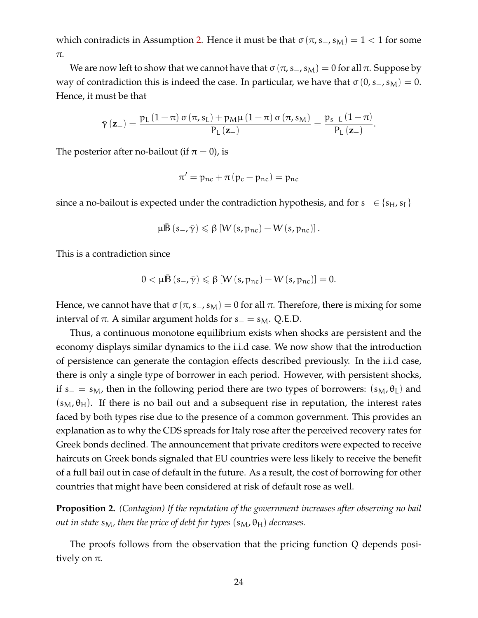which contradicts in Assumption [2.](#page-20-0) Hence it must be that  $\sigma(\pi, s_-, s_M) = 1 < 1$  for some π.

We are now left to show that we cannot have that  $\sigma(\pi, s_-, s_M) = 0$  for all π. Suppose by way of contradiction this is indeed the case. In particular, we have that  $\sigma(0, s_-, s_M) = 0$ . Hence, it must be that

$$
\bar{\gamma}\left(\mathbf{z}_{-}\right)=\frac{p_{L}\left(1-\pi\right)\sigma\left(\pi,s_{L}\right)+p_{M}\mu\left(1-\pi\right)\sigma\left(\pi,s_{M}\right)}{P_{L}\left(\mathbf{z}_{-}\right)}=\frac{p_{s_{-}L}\left(1-\pi\right)}{P_{L}\left(\mathbf{z}_{-}\right)}.
$$

The posterior after no-bailout (if  $\pi = 0$ ), is

$$
\pi'=p_{nc}+\pi\left(p_c-p_{nc}\right)=p_{nc}
$$

since a no-bailout is expected under the contradiction hypothesis, and for  $s_$  ∈ { $s<sub>H</sub>$ ,  $s<sub>L</sub>$ }

$$
\mu \bar{\mathbb{B}}\left(s_-, \bar{\gamma}\right) \leqslant \beta \left[W\left(s, p_{nc}\right) - W\left(s, p_{nc}\right)\right].
$$

This is a contradiction since

$$
0<\mu\bar{\mathbb{B}}\left(s_-,\bar{\gamma}\right)\leqslant\beta\left[W\left(s,p_{nc}\right)-W\left(s,p_{nc}\right)\right]=0.
$$

Hence, we cannot have that  $\sigma(\pi, s_-, s_M) = 0$  for all  $\pi$ . Therefore, there is mixing for some interval of  $\pi$ . A similar argument holds for s<sub>−</sub> = s<sub>M</sub>. Q.E.D.

Thus, a continuous monotone equilibrium exists when shocks are persistent and the economy displays similar dynamics to the i.i.d case. We now show that the introduction of persistence can generate the contagion effects described previously. In the i.i.d case, there is only a single type of borrower in each period. However, with persistent shocks, if s<sub>−</sub> = s<sub>M</sub>, then in the following period there are two types of borrowers: (s<sub>M</sub>,  $\theta_L$ ) and  $(s_M, \theta_H)$ . If there is no bail out and a subsequent rise in reputation, the interest rates faced by both types rise due to the presence of a common government. This provides an explanation as to why the CDS spreads for Italy rose after the perceived recovery rates for Greek bonds declined. The announcement that private creditors were expected to receive haircuts on Greek bonds signaled that EU countries were less likely to receive the benefit of a full bail out in case of default in the future. As a result, the cost of borrowing for other countries that might have been considered at risk of default rose as well.

**Proposition 2.** *(Contagion) If the reputation of the government increases after observing no bail out in state*  $s_M$ , then the price of debt for types  $(s_M, \theta_H)$  decreases.

The proofs follows from the observation that the pricing function Q depends positively on  $\pi$ .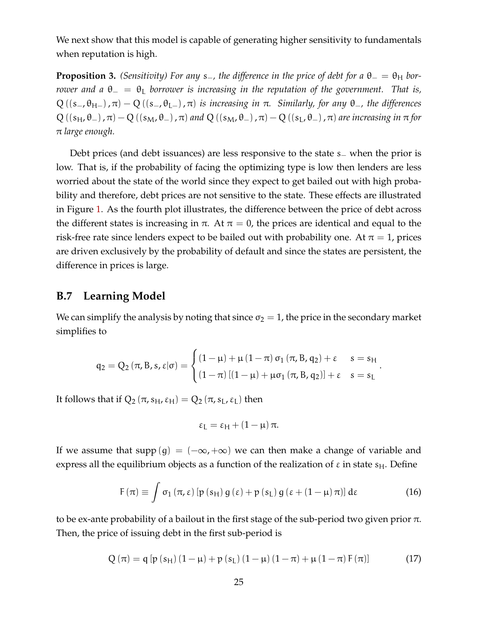We next show that this model is capable of generating higher sensitivity to fundamentals when reputation is high.

**Proposition 3.** *(Sensitivity) For any* s<sub>−</sub>*, the difference in the price of debt for a*  $\theta$ <sub>−</sub> =  $\theta$ <sub>H</sub> *borrower and a*  $θ_ = θ_$  *borrower is increasing in the reputation of the government. That is,*  $Q((s_-, \theta_{H-}), \pi) - Q((s_-, \theta_{L-}), \pi)$  *is increasing in*  $\pi$ *. Similarly, for any*  $\theta_-,$  *the differences*  $Q((s_H,\theta_-),\pi)-Q((s_M,\theta_-),\pi)$  and  $Q((s_M,\theta_-),\pi)-Q((s_L,\theta_-),\pi)$  are increasing in  $\pi$  for π *large enough.*

Debt prices (and debt issuances) are less responsive to the state s<sub>−</sub> when the prior is low. That is, if the probability of facing the optimizing type is low then lenders are less worried about the state of the world since they expect to get bailed out with high probability and therefore, debt prices are not sensitive to the state. These effects are illustrated in Figure [1.](#page-25-0) As the fourth plot illustrates, the difference between the price of debt across the different states is increasing in  $\pi$ . At  $\pi = 0$ , the prices are identical and equal to the risk-free rate since lenders expect to be bailed out with probability one. At  $\pi = 1$ , prices are driven exclusively by the probability of default and since the states are persistent, the difference in prices is large.

#### <span id="page-24-0"></span>**B.7 Learning Model**

We can simplify the analysis by noting that since  $\sigma_2 = 1$ , the price in the secondary market simplifies to

$$
q_2 = Q_2\left(\pi, B, s, \epsilon | \sigma\right) = \begin{cases} \left(1 - \mu\right) + \mu\left(1 - \pi\right)\sigma_1\left(\pi, B, q_2\right) + \epsilon & s = s_H \\ \left(1 - \pi\right)\left[\left(1 - \mu\right) + \mu\sigma_1\left(\pi, B, q_2\right)\right] + \epsilon & s = s_L \end{cases}
$$

It follows that if  $Q_2(\pi, s_H, \varepsilon_H) = Q_2(\pi, s_L, \varepsilon_L)$  then

$$
\epsilon_L = \epsilon_H + (1 - \mu)\,\pi.
$$

If we assume that supp (g) =  $(-\infty, +\infty)$  we can then make a change of variable and express all the equilibrium objects as a function of the realization of  $\varepsilon$  in state  $s_H$ . Define

<span id="page-24-1"></span>
$$
F(\pi) \equiv \int \sigma_1(\pi, \varepsilon) \left[ p(s_H) g(\varepsilon) + p(s_L) g(\varepsilon + (1 - \mu) \pi) \right] d\varepsilon \tag{16}
$$

.

to be ex-ante probability of a bailout in the first stage of the sub-period two given prior  $\pi$ . Then, the price of issuing debt in the first sub-period is

$$
Q(\pi) = q [p (s_H) (1 - \mu) + p (s_L) (1 - \mu) (1 - \pi) + \mu (1 - \pi) F(\pi)]
$$
 (17)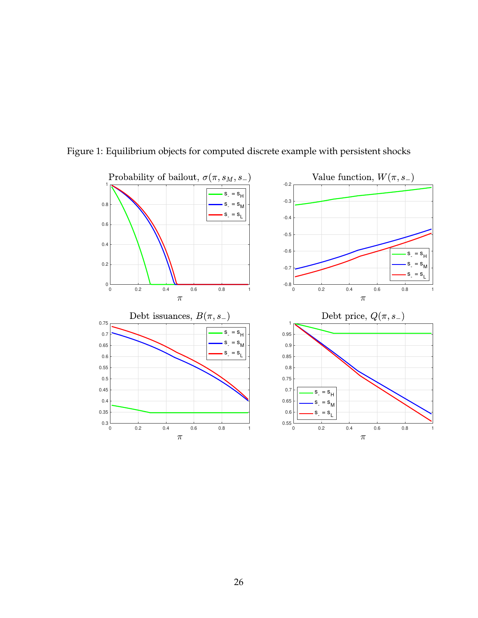

#### <span id="page-25-0"></span>Figure 1: Equilibrium objects for computed discrete example with persistent shocks